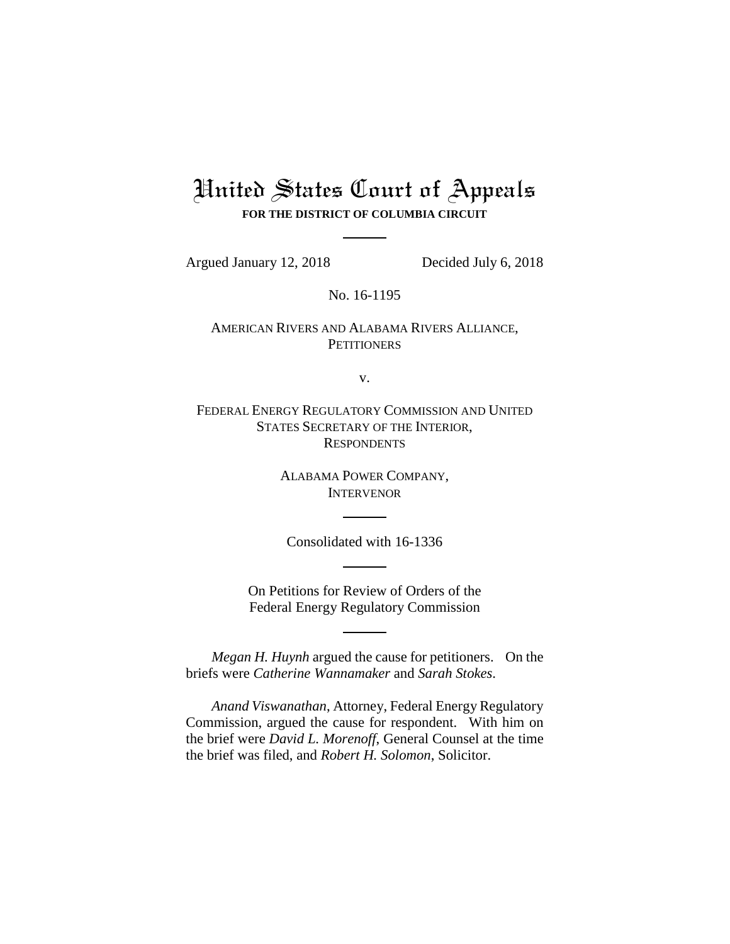# United States Court of Appeals **FOR THE DISTRICT OF COLUMBIA CIRCUIT**

Argued January 12, 2018 Decided July 6, 2018

No. 16-1195

## AMERICAN RIVERS AND ALABAMA RIVERS ALLIANCE, **PETITIONERS**

v.

FEDERAL ENERGY REGULATORY COMMISSION AND UNITED STATES SECRETARY OF THE INTERIOR, **RESPONDENTS** 

> ALABAMA POWER COMPANY, INTERVENOR

Consolidated with 16-1336

On Petitions for Review of Orders of the Federal Energy Regulatory Commission

*Megan H. Huynh* argued the cause for petitioners. On the briefs were *Catherine Wannamaker* and *Sarah Stokes*.

*Anand Viswanathan*, Attorney, Federal Energy Regulatory Commission, argued the cause for respondent. With him on the brief were *David L. Morenoff*, General Counsel at the time the brief was filed, and *Robert H. Solomon*, Solicitor.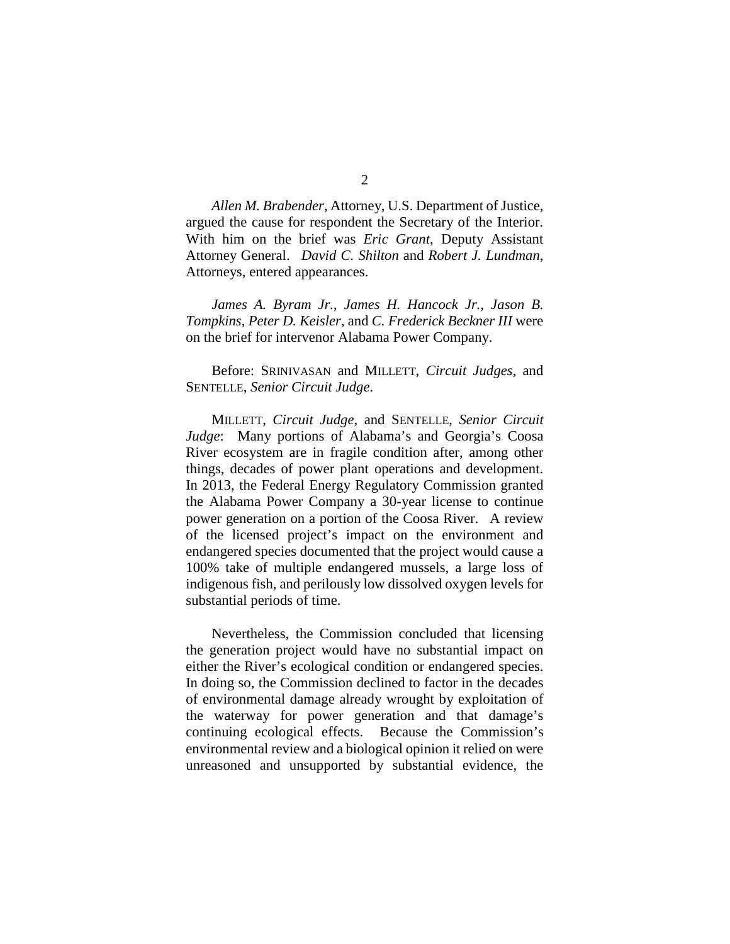*Allen M. Brabender*, Attorney, U.S. Department of Justice, argued the cause for respondent the Secretary of the Interior. With him on the brief was *Eric Grant*, Deputy Assistant Attorney General. *David C. Shilton* and *Robert J. Lundman*, Attorneys, entered appearances.

*James A. Byram Jr.*, *James H. Hancock Jr.*, *Jason B. Tompkins*, *Peter D. Keisler*, and *C. Frederick Beckner III* were on the brief for intervenor Alabama Power Company.

Before: SRINIVASAN and MILLETT, *Circuit Judges*, and SENTELLE, *Senior Circuit Judge*.

MILLETT, *Circuit Judge*, and SENTELLE, *Senior Circuit Judge*: Many portions of Alabama's and Georgia's Coosa River ecosystem are in fragile condition after, among other things, decades of power plant operations and development. In 2013, the Federal Energy Regulatory Commission granted the Alabama Power Company a 30-year license to continue power generation on a portion of the Coosa River. A review of the licensed project's impact on the environment and endangered species documented that the project would cause a 100% take of multiple endangered mussels, a large loss of indigenous fish, and perilously low dissolved oxygen levels for substantial periods of time.

Nevertheless, the Commission concluded that licensing the generation project would have no substantial impact on either the River's ecological condition or endangered species. In doing so, the Commission declined to factor in the decades of environmental damage already wrought by exploitation of the waterway for power generation and that damage's continuing ecological effects. Because the Commission's environmental review and a biological opinion it relied on were unreasoned and unsupported by substantial evidence, the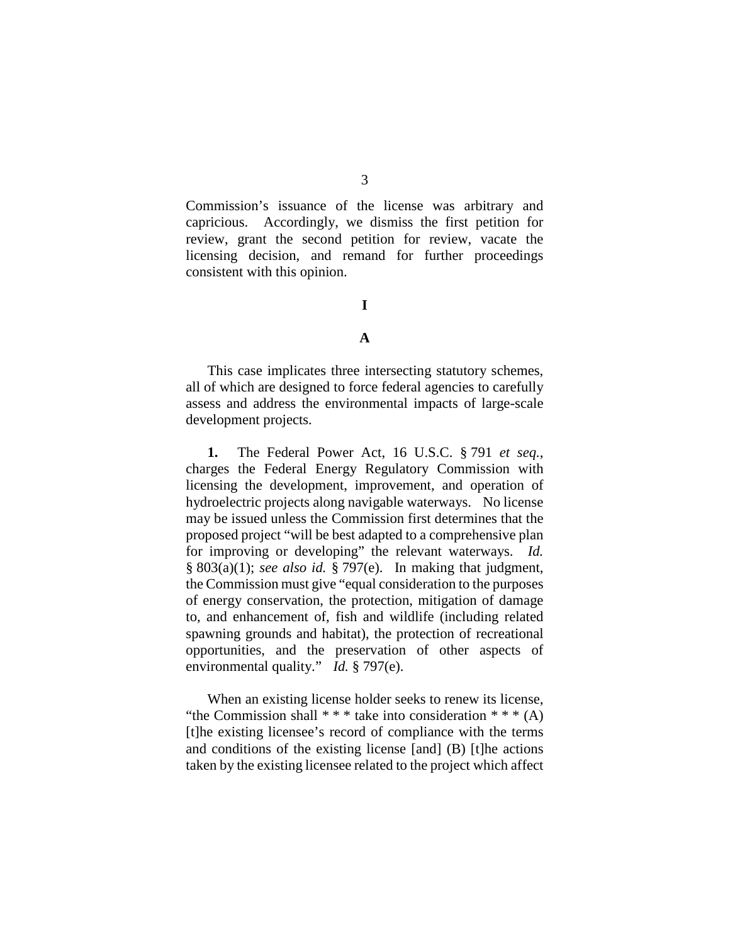Commission's issuance of the license was arbitrary and capricious. Accordingly, we dismiss the first petition for review, grant the second petition for review, vacate the licensing decision, and remand for further proceedings consistent with this opinion.

## **I**

#### **A**

This case implicates three intersecting statutory schemes, all of which are designed to force federal agencies to carefully assess and address the environmental impacts of large-scale development projects.

**1.** The Federal Power Act, 16 U.S.C. § 791 *et seq.*, charges the Federal Energy Regulatory Commission with licensing the development, improvement, and operation of hydroelectric projects along navigable waterways. No license may be issued unless the Commission first determines that the proposed project "will be best adapted to a comprehensive plan for improving or developing" the relevant waterways. *Id.* § 803(a)(1); *see also id.* § 797(e). In making that judgment, the Commission must give "equal consideration to the purposes of energy conservation, the protection, mitigation of damage to, and enhancement of, fish and wildlife (including related spawning grounds and habitat), the protection of recreational opportunities, and the preservation of other aspects of environmental quality." *Id.* § 797(e).

When an existing license holder seeks to renew its license, "the Commission shall  $***$  take into consideration  $***$  (A) [t]he existing licensee's record of compliance with the terms and conditions of the existing license [and] (B) [t]he actions taken by the existing licensee related to the project which affect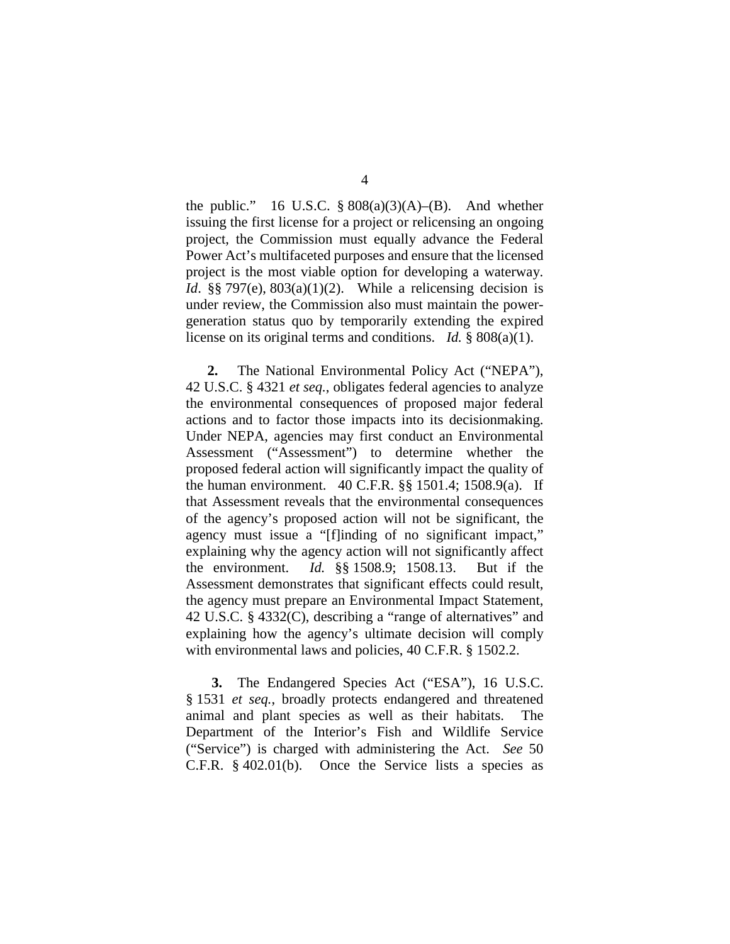the public." 16 U.S.C.  $\S 808(a)(3)(A)$ –(B). And whether issuing the first license for a project or relicensing an ongoing project, the Commission must equally advance the Federal Power Act's multifaceted purposes and ensure that the licensed project is the most viable option for developing a waterway. *Id.* §§ 797(e), 803(a)(1)(2). While a relicensing decision is under review, the Commission also must maintain the powergeneration status quo by temporarily extending the expired license on its original terms and conditions. *Id.* § 808(a)(1).

**2.** The National Environmental Policy Act ("NEPA"), 42 U.S.C. § 4321 *et seq.*, obligates federal agencies to analyze the environmental consequences of proposed major federal actions and to factor those impacts into its decisionmaking. Under NEPA, agencies may first conduct an Environmental Assessment ("Assessment") to determine whether the proposed federal action will significantly impact the quality of the human environment. 40 C.F.R. §§ 1501.4; 1508.9(a). If that Assessment reveals that the environmental consequences of the agency's proposed action will not be significant, the agency must issue a "[f]inding of no significant impact," explaining why the agency action will not significantly affect the environment. *Id.* §§ 1508.9; 1508.13. But if the Assessment demonstrates that significant effects could result, the agency must prepare an Environmental Impact Statement, 42 U.S.C. § 4332(C), describing a "range of alternatives" and explaining how the agency's ultimate decision will comply with environmental laws and policies, 40 C.F.R. § 1502.2.

**3.** The Endangered Species Act ("ESA"), 16 U.S.C. § 1531 *et seq.*, broadly protects endangered and threatened animal and plant species as well as their habitats. The Department of the Interior's Fish and Wildlife Service ("Service") is charged with administering the Act. *See* 50 C.F.R. § 402.01(b). Once the Service lists a species as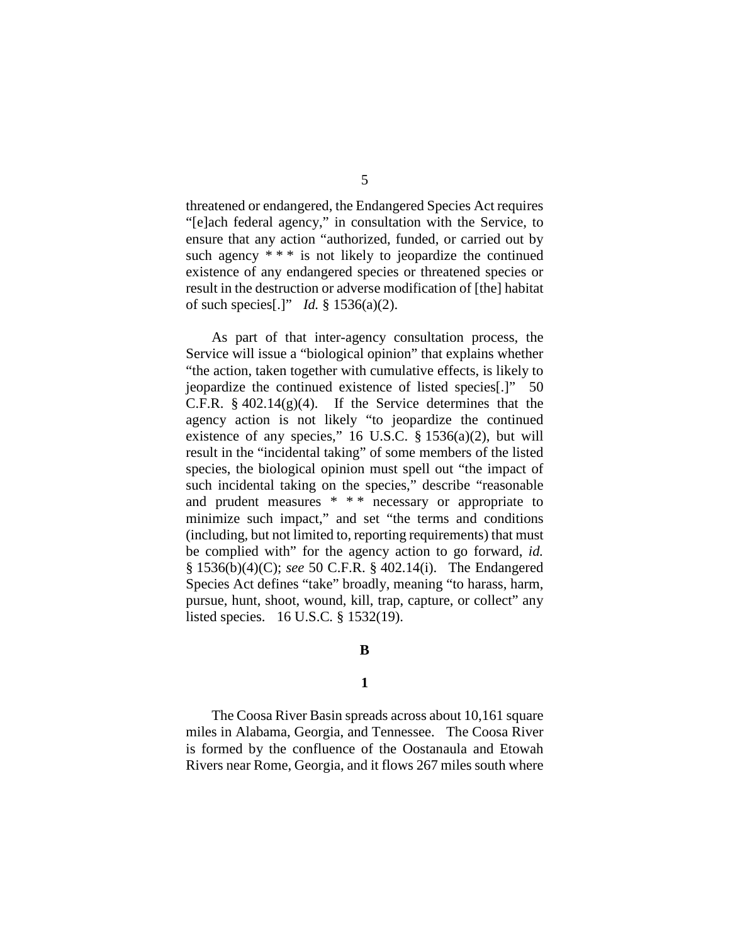threatened or endangered, the Endangered Species Act requires "[e]ach federal agency," in consultation with the Service, to ensure that any action "authorized, funded, or carried out by such agency  $**$  is not likely to jeopardize the continued existence of any endangered species or threatened species or result in the destruction or adverse modification of [the] habitat of such species[.]" *Id.* § 1536(a)(2).

As part of that inter-agency consultation process, the Service will issue a "biological opinion" that explains whether "the action, taken together with cumulative effects, is likely to jeopardize the continued existence of listed species[.]" 50 C.F.R.  $\S$  402.14(g)(4). If the Service determines that the agency action is not likely "to jeopardize the continued existence of any species," 16 U.S.C.  $\S$  1536(a)(2), but will result in the "incidental taking" of some members of the listed species, the biological opinion must spell out "the impact of such incidental taking on the species," describe "reasonable and prudent measures \* \* \* necessary or appropriate to minimize such impact," and set "the terms and conditions (including, but not limited to, reporting requirements) that must be complied with" for the agency action to go forward, *id.* § 1536(b)(4)(C); *see* 50 C.F.R. § 402.14(i). The Endangered Species Act defines "take" broadly, meaning "to harass, harm, pursue, hunt, shoot, wound, kill, trap, capture, or collect" any listed species. 16 U.S.C*.* § 1532(19).

## **B**

## **1**

The Coosa River Basin spreads across about 10,161 square miles in Alabama, Georgia, and Tennessee. The Coosa River is formed by the confluence of the Oostanaula and Etowah Rivers near Rome, Georgia, and it flows 267 miles south where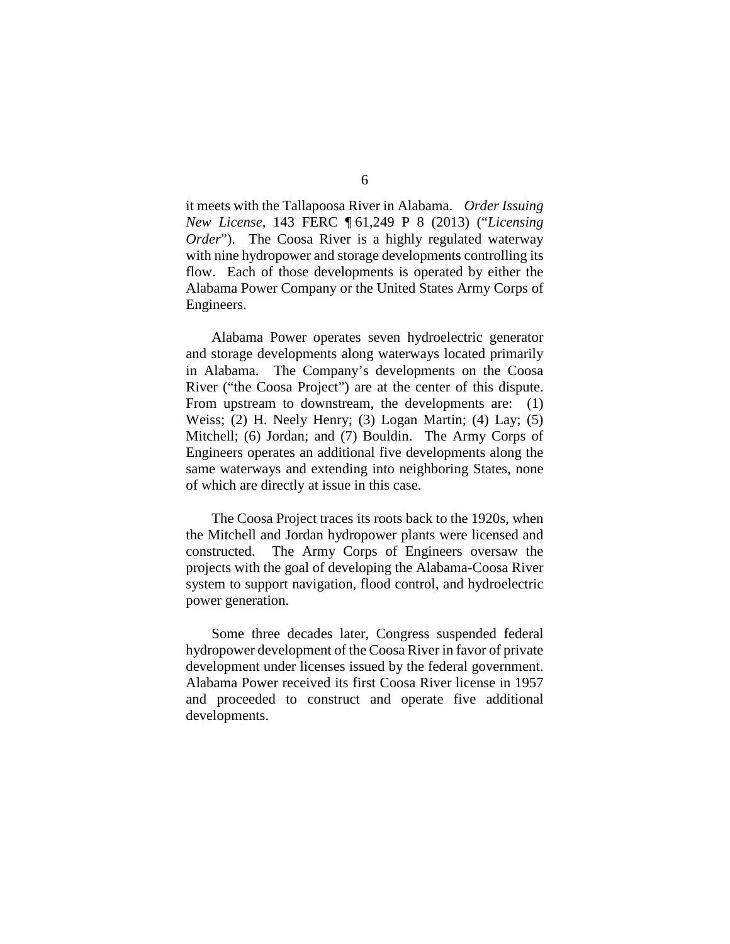it meets with the Tallapoosa River in Alabama. *Order Issuing New License*, 143 FERC ¶ 61,249 P 8 (2013) ("*Licensing Order*"). The Coosa River is a highly regulated waterway with nine hydropower and storage developments controlling its flow. Each of those developments is operated by either the Alabama Power Company or the United States Army Corps of Engineers.

Alabama Power operates seven hydroelectric generator and storage developments along waterways located primarily in Alabama. The Company's developments on the Coosa River ("the Coosa Project") are at the center of this dispute. From upstream to downstream, the developments are: (1) Weiss; (2) H. Neely Henry; (3) Logan Martin; (4) Lay; (5) Mitchell; (6) Jordan; and (7) Bouldin. The Army Corps of Engineers operates an additional five developments along the same waterways and extending into neighboring States, none of which are directly at issue in this case.

The Coosa Project traces its roots back to the 1920s, when the Mitchell and Jordan hydropower plants were licensed and constructed. The Army Corps of Engineers oversaw the projects with the goal of developing the Alabama-Coosa River system to support navigation, flood control, and hydroelectric power generation.

Some three decades later, Congress suspended federal hydropower development of the Coosa River in favor of private development under licenses issued by the federal government. Alabama Power received its first Coosa River license in 1957 and proceeded to construct and operate five additional developments.

## 6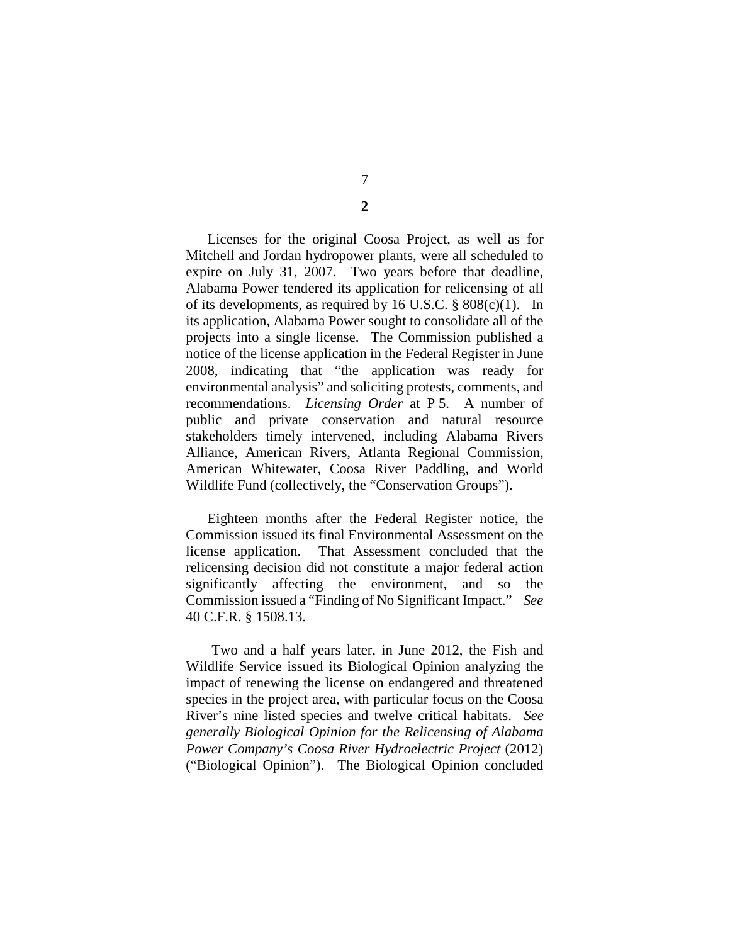7

**2**

Licenses for the original Coosa Project, as well as for Mitchell and Jordan hydropower plants, were all scheduled to expire on July 31, 2007. Two years before that deadline, Alabama Power tendered its application for relicensing of all of its developments, as required by 16 U.S.C.  $\S$  808(c)(1). In its application, Alabama Power sought to consolidate all of the projects into a single license. The Commission published a notice of the license application in the Federal Register in June 2008, indicating that "the application was ready for environmental analysis" and soliciting protests, comments, and recommendations. *Licensing Order* at P 5. A number of public and private conservation and natural resource stakeholders timely intervened, including Alabama Rivers Alliance, American Rivers, Atlanta Regional Commission, American Whitewater, Coosa River Paddling, and World Wildlife Fund (collectively, the "Conservation Groups").

Eighteen months after the Federal Register notice, the Commission issued its final Environmental Assessment on the license application. That Assessment concluded that the relicensing decision did not constitute a major federal action significantly affecting the environment, and so the Commission issued a "Finding of No Significant Impact." *See*  40 C.F.R. § 1508.13.

Two and a half years later, in June 2012, the Fish and Wildlife Service issued its Biological Opinion analyzing the impact of renewing the license on endangered and threatened species in the project area, with particular focus on the Coosa River's nine listed species and twelve critical habitats. *See generally Biological Opinion for the Relicensing of Alabama Power Company's Coosa River Hydroelectric Project* (2012) ("Biological Opinion"). The Biological Opinion concluded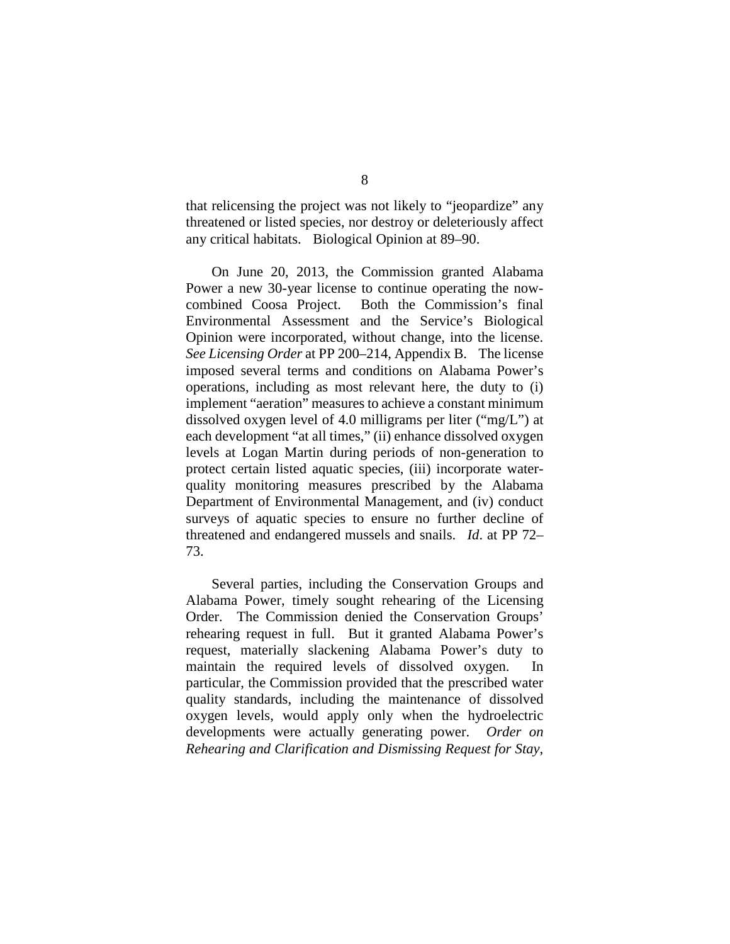that relicensing the project was not likely to "jeopardize" any threatened or listed species, nor destroy or deleteriously affect any critical habitats. Biological Opinion at 89–90.

On June 20, 2013, the Commission granted Alabama Power a new 30-year license to continue operating the now-<br>combined Coosa Project. Both the Commission's final Both the Commission's final Environmental Assessment and the Service's Biological Opinion were incorporated, without change, into the license. *See Licensing Order* at PP 200–214, Appendix B. The license imposed several terms and conditions on Alabama Power's operations, including as most relevant here, the duty to (i) implement "aeration" measures to achieve a constant minimum dissolved oxygen level of 4.0 milligrams per liter ("mg/L") at each development "at all times," (ii) enhance dissolved oxygen levels at Logan Martin during periods of non-generation to protect certain listed aquatic species, (iii) incorporate waterquality monitoring measures prescribed by the Alabama Department of Environmental Management, and (iv) conduct surveys of aquatic species to ensure no further decline of threatened and endangered mussels and snails. *Id*. at PP 72– 73.

Several parties, including the Conservation Groups and Alabama Power, timely sought rehearing of the Licensing Order. The Commission denied the Conservation Groups' rehearing request in full. But it granted Alabama Power's request, materially slackening Alabama Power's duty to maintain the required levels of dissolved oxygen. In particular, the Commission provided that the prescribed water quality standards, including the maintenance of dissolved oxygen levels, would apply only when the hydroelectric developments were actually generating power. *Order on Rehearing and Clarification and Dismissing Request for Stay*,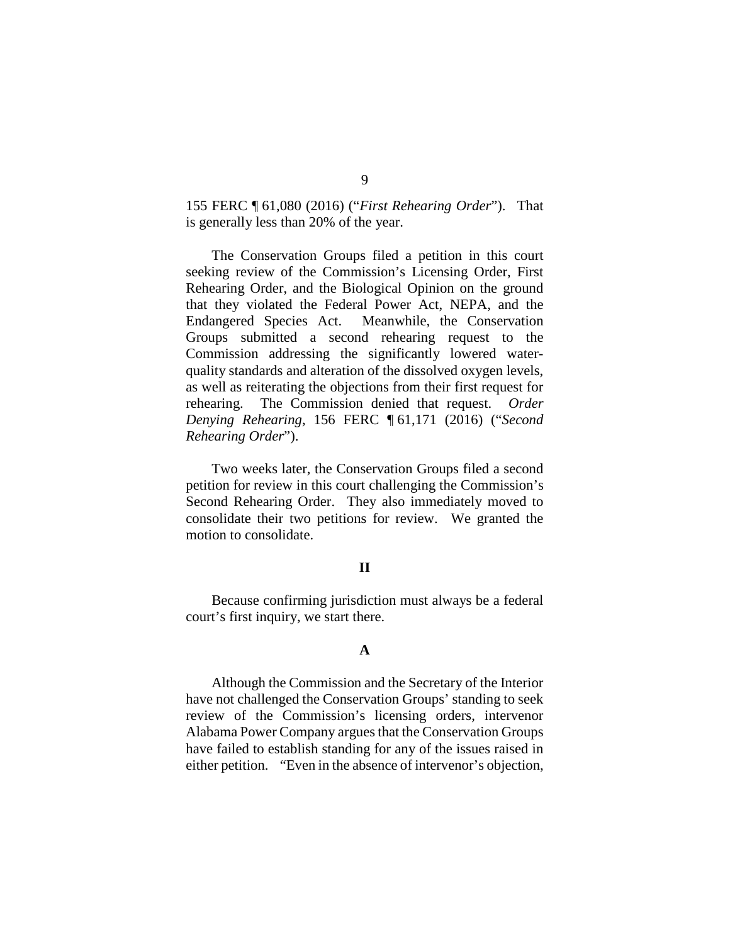155 FERC ¶ 61,080 (2016) ("*First Rehearing Order*"). That is generally less than 20% of the year.

The Conservation Groups filed a petition in this court seeking review of the Commission's Licensing Order, First Rehearing Order, and the Biological Opinion on the ground that they violated the Federal Power Act, NEPA, and the Endangered Species Act. Meanwhile, the Conservation Groups submitted a second rehearing request to the Commission addressing the significantly lowered waterquality standards and alteration of the dissolved oxygen levels, as well as reiterating the objections from their first request for rehearing. The Commission denied that request. *Order Denying Rehearing*, 156 FERC ¶ 61,171 (2016) ("*Second Rehearing Order*").

Two weeks later, the Conservation Groups filed a second petition for review in this court challenging the Commission's Second Rehearing Order. They also immediately moved to consolidate their two petitions for review. We granted the motion to consolidate.

#### **II**

Because confirming jurisdiction must always be a federal court's first inquiry, we start there.

## **A**

Although the Commission and the Secretary of the Interior have not challenged the Conservation Groups' standing to seek review of the Commission's licensing orders, intervenor Alabama Power Company argues that the Conservation Groups have failed to establish standing for any of the issues raised in either petition. "Even in the absence of intervenor's objection,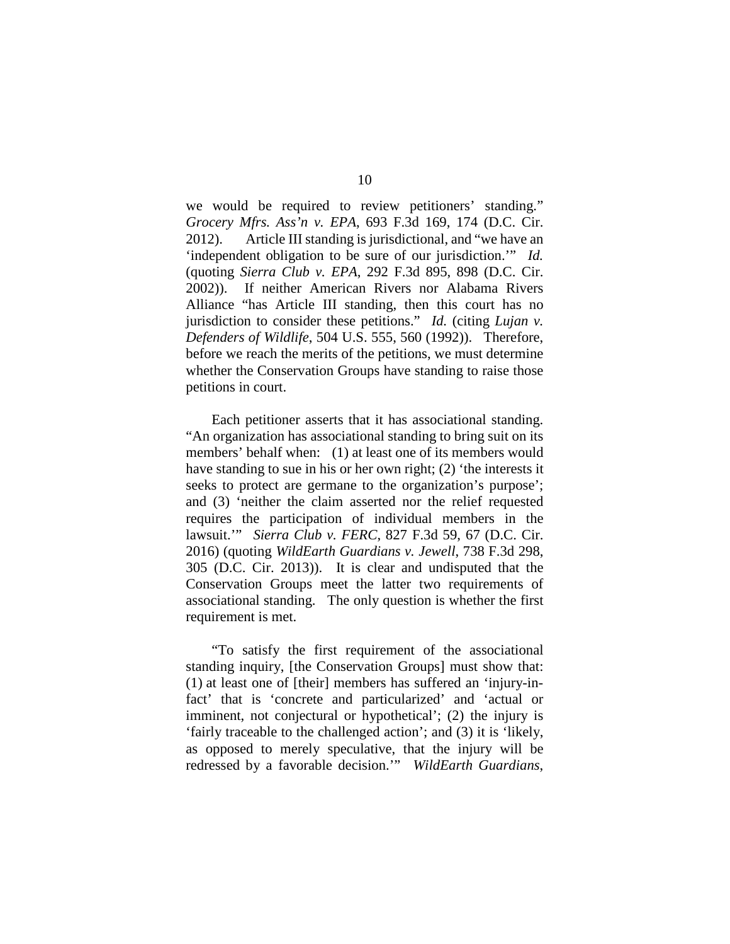we would be required to review petitioners' standing." *Grocery Mfrs. Ass'n v. EPA*, 693 F.3d 169, 174 (D.C. Cir. 2012). Article III standing is jurisdictional, and "we have an 'independent obligation to be sure of our jurisdiction.'" *Id.* (quoting *Sierra Club v. EPA*, 292 F.3d 895, 898 (D.C. Cir. 2002)). If neither American Rivers nor Alabama Rivers Alliance "has Article III standing, then this court has no jurisdiction to consider these petitions." *Id.* (citing *Lujan v. Defenders of Wildlife*, 504 U.S. 555, 560 (1992)). Therefore, before we reach the merits of the petitions, we must determine whether the Conservation Groups have standing to raise those petitions in court.

Each petitioner asserts that it has associational standing. "An organization has associational standing to bring suit on its members' behalf when: (1) at least one of its members would have standing to sue in his or her own right; (2) 'the interests it seeks to protect are germane to the organization's purpose'; and (3) 'neither the claim asserted nor the relief requested requires the participation of individual members in the lawsuit.'" *Sierra Club v. FERC*, 827 F.3d 59, 67 (D.C. Cir. 2016) (quoting *WildEarth Guardians v. Jewell*, 738 F.3d 298, 305 (D.C. Cir. 2013)). It is clear and undisputed that the Conservation Groups meet the latter two requirements of associational standing. The only question is whether the first requirement is met.

"To satisfy the first requirement of the associational standing inquiry, [the Conservation Groups] must show that: (1) at least one of [their] members has suffered an 'injury-infact' that is 'concrete and particularized' and 'actual or imminent, not conjectural or hypothetical'; (2) the injury is 'fairly traceable to the challenged action'; and (3) it is 'likely, as opposed to merely speculative, that the injury will be redressed by a favorable decision.'" *WildEarth Guardians*,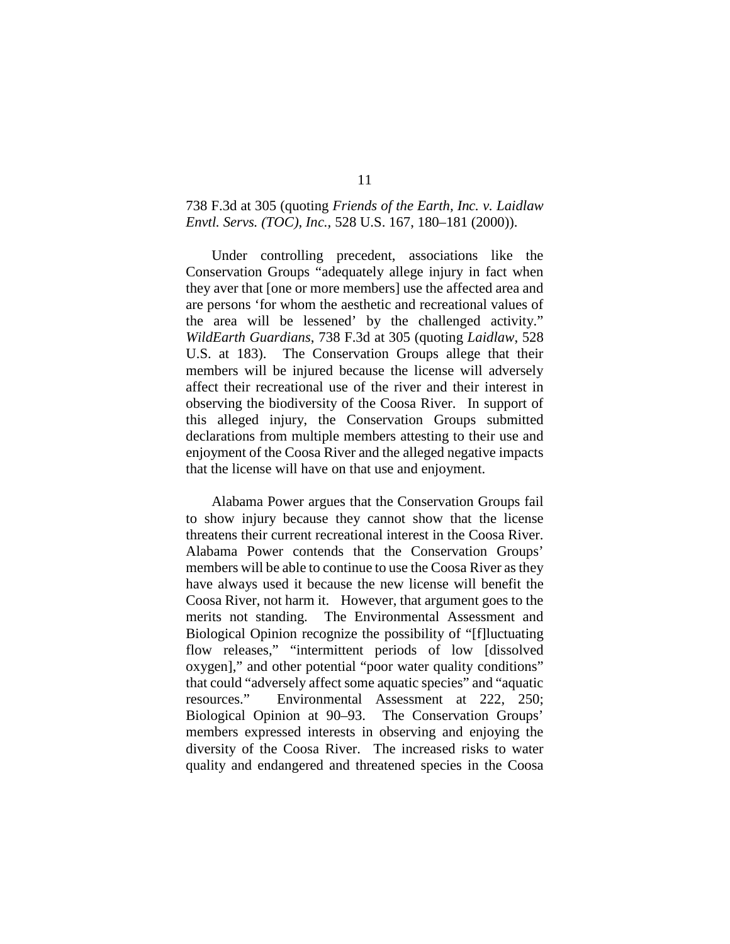## 738 F.3d at 305 (quoting *Friends of the Earth, Inc. v. Laidlaw Envtl. Servs. (TOC), Inc.*, 528 U.S. 167, 180–181 (2000)).

Under controlling precedent, associations like the Conservation Groups "adequately allege injury in fact when they aver that [one or more members] use the affected area and are persons 'for whom the aesthetic and recreational values of the area will be lessened' by the challenged activity." *WildEarth Guardians*, 738 F.3d at 305 (quoting *Laidlaw*, 528 U.S. at 183). The Conservation Groups allege that their members will be injured because the license will adversely affect their recreational use of the river and their interest in observing the biodiversity of the Coosa River. In support of this alleged injury, the Conservation Groups submitted declarations from multiple members attesting to their use and enjoyment of the Coosa River and the alleged negative impacts that the license will have on that use and enjoyment.

Alabama Power argues that the Conservation Groups fail to show injury because they cannot show that the license threatens their current recreational interest in the Coosa River. Alabama Power contends that the Conservation Groups' members will be able to continue to use the Coosa River as they have always used it because the new license will benefit the Coosa River, not harm it. However, that argument goes to the merits not standing. The Environmental Assessment and Biological Opinion recognize the possibility of "[f]luctuating flow releases," "intermittent periods of low [dissolved oxygen]," and other potential "poor water quality conditions" that could "adversely affect some aquatic species" and "aquatic resources." Environmental Assessment at 222, 250; Biological Opinion at 90–93. The Conservation Groups' members expressed interests in observing and enjoying the diversity of the Coosa River. The increased risks to water quality and endangered and threatened species in the Coosa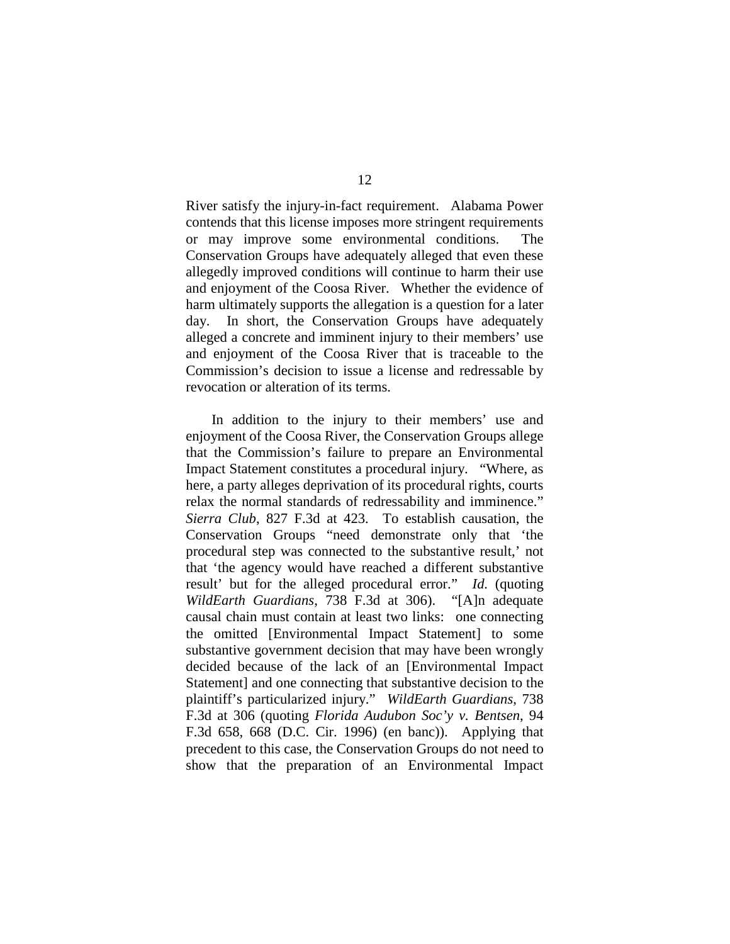River satisfy the injury-in-fact requirement. Alabama Power contends that this license imposes more stringent requirements or may improve some environmental conditions. The Conservation Groups have adequately alleged that even these allegedly improved conditions will continue to harm their use and enjoyment of the Coosa River. Whether the evidence of harm ultimately supports the allegation is a question for a later day. In short, the Conservation Groups have adequately alleged a concrete and imminent injury to their members' use and enjoyment of the Coosa River that is traceable to the Commission's decision to issue a license and redressable by revocation or alteration of its terms.

In addition to the injury to their members' use and enjoyment of the Coosa River, the Conservation Groups allege that the Commission's failure to prepare an Environmental Impact Statement constitutes a procedural injury. "Where, as here, a party alleges deprivation of its procedural rights, courts relax the normal standards of redressability and imminence." *Sierra Club*, 827 F.3d at 423. To establish causation, the Conservation Groups "need demonstrate only that 'the procedural step was connected to the substantive result,' not that 'the agency would have reached a different substantive result' but for the alleged procedural error." *Id.* (quoting *WildEarth Guardians*, 738 F.3d at 306). "[A]n adequate causal chain must contain at least two links: one connecting the omitted [Environmental Impact Statement] to some substantive government decision that may have been wrongly decided because of the lack of an [Environmental Impact Statement] and one connecting that substantive decision to the plaintiff's particularized injury." *WildEarth Guardians*, 738 F.3d at 306 (quoting *Florida Audubon Soc'y v. Bentsen*, 94 F.3d 658, 668 (D.C. Cir. 1996) (en banc)). Applying that precedent to this case, the Conservation Groups do not need to show that the preparation of an Environmental Impact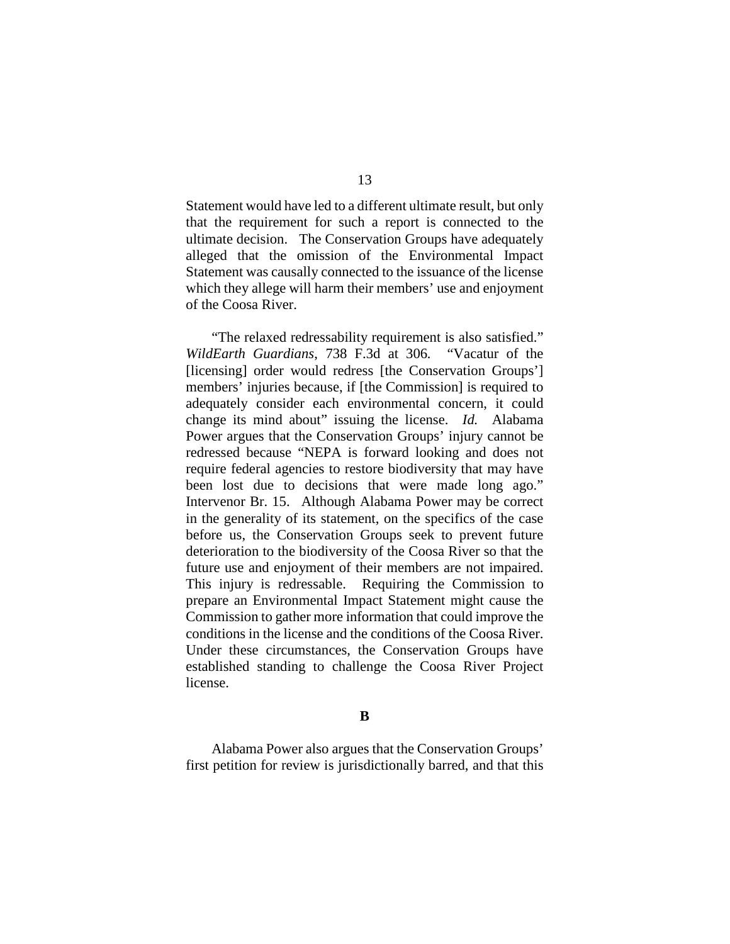Statement would have led to a different ultimate result, but only that the requirement for such a report is connected to the ultimate decision. The Conservation Groups have adequately alleged that the omission of the Environmental Impact Statement was causally connected to the issuance of the license which they allege will harm their members' use and enjoyment of the Coosa River.

"The relaxed redressability requirement is also satisfied." *WildEarth Guardians*, 738 F.3d at 306*.* "Vacatur of the [licensing] order would redress [the Conservation Groups'] members' injuries because, if [the Commission] is required to adequately consider each environmental concern, it could change its mind about" issuing the license. *Id.* Alabama Power argues that the Conservation Groups' injury cannot be redressed because "NEPA is forward looking and does not require federal agencies to restore biodiversity that may have been lost due to decisions that were made long ago." Intervenor Br. 15. Although Alabama Power may be correct in the generality of its statement, on the specifics of the case before us, the Conservation Groups seek to prevent future deterioration to the biodiversity of the Coosa River so that the future use and enjoyment of their members are not impaired. This injury is redressable. Requiring the Commission to prepare an Environmental Impact Statement might cause the Commission to gather more information that could improve the conditions in the license and the conditions of the Coosa River. Under these circumstances, the Conservation Groups have established standing to challenge the Coosa River Project license.

#### **B**

Alabama Power also argues that the Conservation Groups' first petition for review is jurisdictionally barred, and that this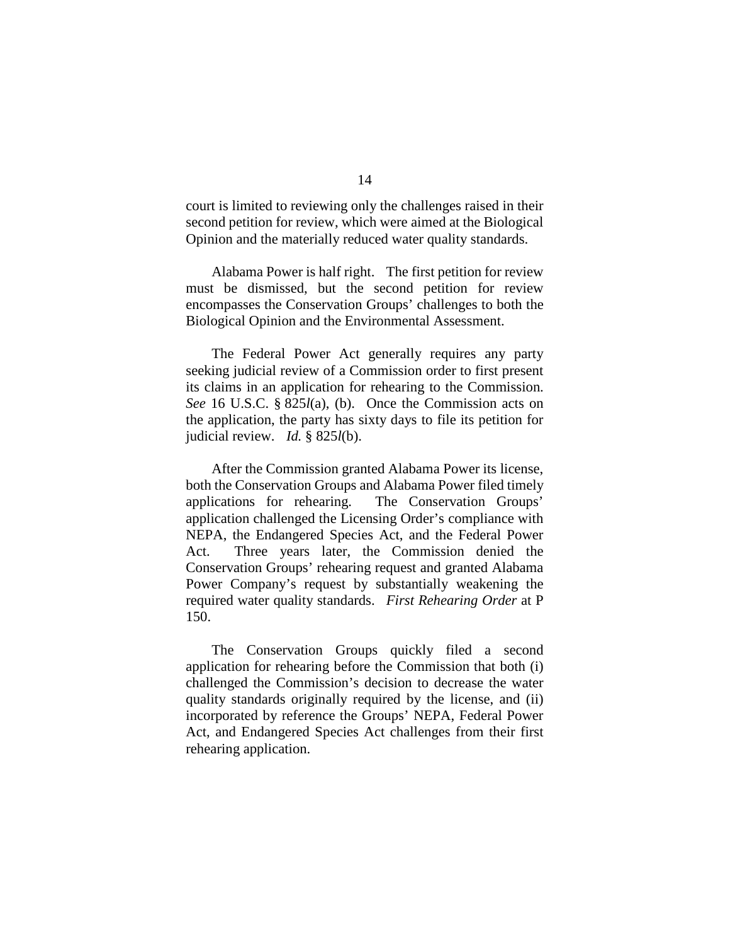court is limited to reviewing only the challenges raised in their second petition for review, which were aimed at the Biological Opinion and the materially reduced water quality standards.

Alabama Power is half right. The first petition for review must be dismissed, but the second petition for review encompasses the Conservation Groups' challenges to both the Biological Opinion and the Environmental Assessment.

The Federal Power Act generally requires any party seeking judicial review of a Commission order to first present its claims in an application for rehearing to the Commission. *See* 16 U.S.C. § 825*l*(a), (b). Once the Commission acts on the application, the party has sixty days to file its petition for judicial review. *Id.* § 825*l*(b).

After the Commission granted Alabama Power its license, both the Conservation Groups and Alabama Power filed timely applications for rehearing. The Conservation Groups' application challenged the Licensing Order's compliance with NEPA, the Endangered Species Act, and the Federal Power Act. Three years later, the Commission denied the Conservation Groups' rehearing request and granted Alabama Power Company's request by substantially weakening the required water quality standards. *First Rehearing Order* at P 150.

The Conservation Groups quickly filed a second application for rehearing before the Commission that both (i) challenged the Commission's decision to decrease the water quality standards originally required by the license, and (ii) incorporated by reference the Groups' NEPA, Federal Power Act, and Endangered Species Act challenges from their first rehearing application.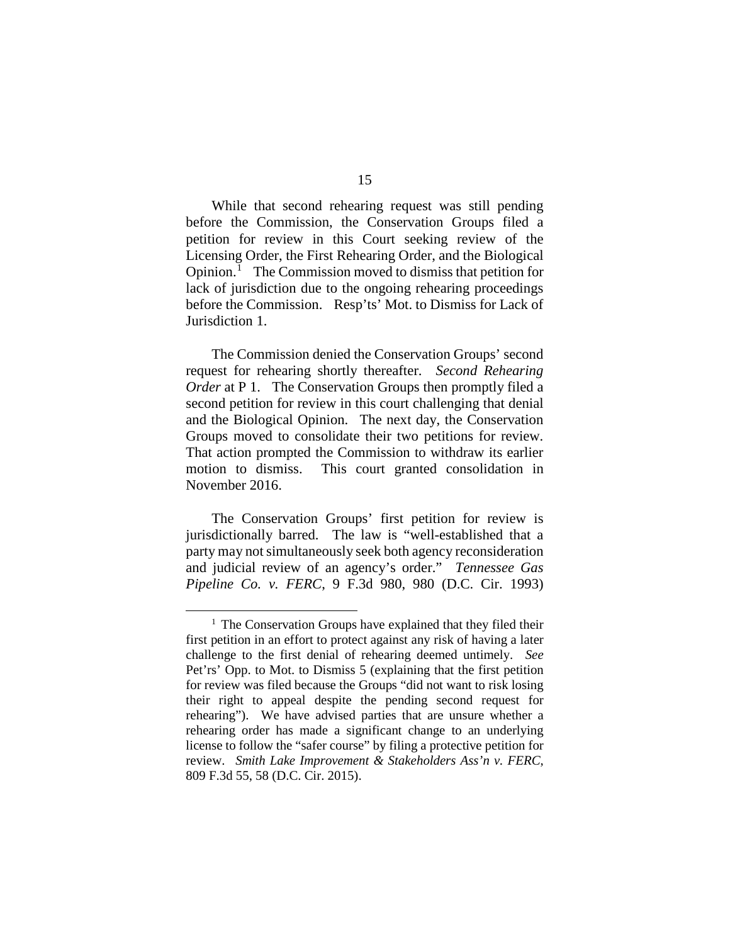While that second rehearing request was still pending before the Commission, the Conservation Groups filed a petition for review in this Court seeking review of the Licensing Order, the First Rehearing Order, and the Biological Opinion.<sup>[1](#page-14-0)</sup> The Commission moved to dismiss that petition for lack of jurisdiction due to the ongoing rehearing proceedings before the Commission. Resp'ts' Mot. to Dismiss for Lack of Jurisdiction 1.

The Commission denied the Conservation Groups' second request for rehearing shortly thereafter. *Second Rehearing Order* at P 1. The Conservation Groups then promptly filed a second petition for review in this court challenging that denial and the Biological Opinion. The next day, the Conservation Groups moved to consolidate their two petitions for review. That action prompted the Commission to withdraw its earlier motion to dismiss. This court granted consolidation in November 2016.

The Conservation Groups' first petition for review is jurisdictionally barred. The law is "well-established that a party may not simultaneously seek both agency reconsideration and judicial review of an agency's order." *Tennessee Gas Pipeline Co. v. FERC*, 9 F.3d 980, 980 (D.C. Cir. 1993)

<span id="page-14-0"></span> $<sup>1</sup>$  The Conservation Groups have explained that they filed their</sup> first petition in an effort to protect against any risk of having a later challenge to the first denial of rehearing deemed untimely. *See*  Pet'rs' Opp. to Mot. to Dismiss 5 (explaining that the first petition for review was filed because the Groups "did not want to risk losing their right to appeal despite the pending second request for rehearing"). We have advised parties that are unsure whether a rehearing order has made a significant change to an underlying license to follow the "safer course" by filing a protective petition for review. *Smith Lake Improvement & Stakeholders Ass'n v. FERC*, 809 F.3d 55, 58 (D.C. Cir. 2015).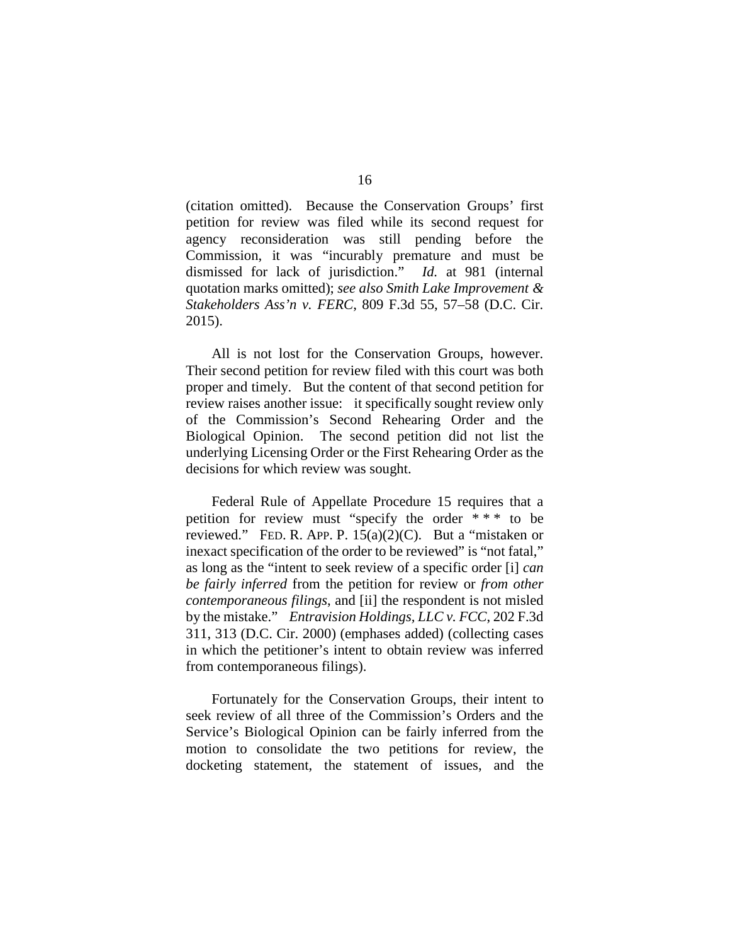(citation omitted). Because the Conservation Groups' first petition for review was filed while its second request for agency reconsideration was still pending before the Commission, it was "incurably premature and must be dismissed for lack of jurisdiction." *Id.* at 981 (internal quotation marks omitted); *see also Smith Lake Improvement & Stakeholders Ass'n v. FERC*, 809 F.3d 55, 57–58 (D.C. Cir. 2015).

All is not lost for the Conservation Groups, however. Their second petition for review filed with this court was both proper and timely. But the content of that second petition for review raises another issue: it specifically sought review only of the Commission's Second Rehearing Order and the Biological Opinion. The second petition did not list the underlying Licensing Order or the First Rehearing Order as the decisions for which review was sought.

Federal Rule of Appellate Procedure 15 requires that a petition for review must "specify the order \* \* \* to be reviewed." FED. R. APP. P. 15(a)(2)(C). But a "mistaken or inexact specification of the order to be reviewed" is "not fatal," as long as the "intent to seek review of a specific order [i] *can be fairly inferred* from the petition for review or *from other contemporaneous filings*, and [ii] the respondent is not misled by the mistake." *Entravision Holdings, LLC v. FCC*, 202 F.3d 311, 313 (D.C. Cir. 2000) (emphases added) (collecting cases in which the petitioner's intent to obtain review was inferred from contemporaneous filings).

Fortunately for the Conservation Groups, their intent to seek review of all three of the Commission's Orders and the Service's Biological Opinion can be fairly inferred from the motion to consolidate the two petitions for review, the docketing statement, the statement of issues, and the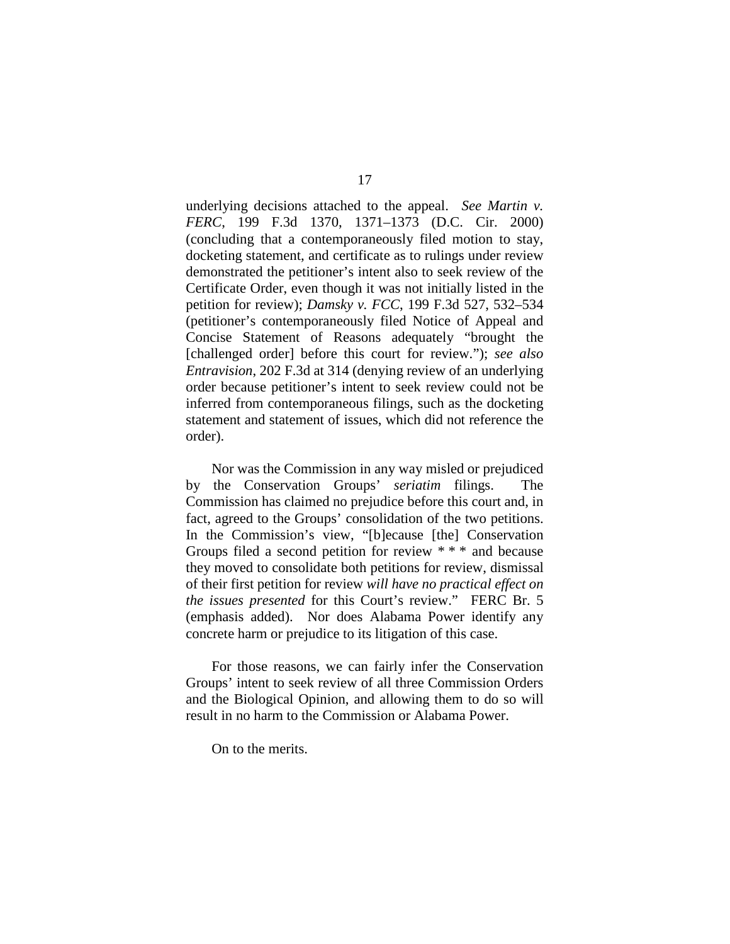underlying decisions attached to the appeal. *See Martin v. FERC*, 199 F.3d 1370, 1371–1373 (D.C. Cir. 2000) (concluding that a contemporaneously filed motion to stay, docketing statement, and certificate as to rulings under review demonstrated the petitioner's intent also to seek review of the Certificate Order, even though it was not initially listed in the petition for review); *Damsky v. FCC*, 199 F.3d 527, 532–534 (petitioner's contemporaneously filed Notice of Appeal and Concise Statement of Reasons adequately "brought the [challenged order] before this court for review."); *see also Entravision*, 202 F.3d at 314 (denying review of an underlying order because petitioner's intent to seek review could not be inferred from contemporaneous filings, such as the docketing statement and statement of issues, which did not reference the order).

Nor was the Commission in any way misled or prejudiced by the Conservation Groups' *seriatim* filings. The Commission has claimed no prejudice before this court and, in fact, agreed to the Groups' consolidation of the two petitions. In the Commission's view, "[b]ecause [the] Conservation Groups filed a second petition for review \* \* \* and because they moved to consolidate both petitions for review, dismissal of their first petition for review *will have no practical effect on the issues presented* for this Court's review." FERC Br. 5 (emphasis added). Nor does Alabama Power identify any concrete harm or prejudice to its litigation of this case.

For those reasons, we can fairly infer the Conservation Groups' intent to seek review of all three Commission Orders and the Biological Opinion, and allowing them to do so will result in no harm to the Commission or Alabama Power.

On to the merits.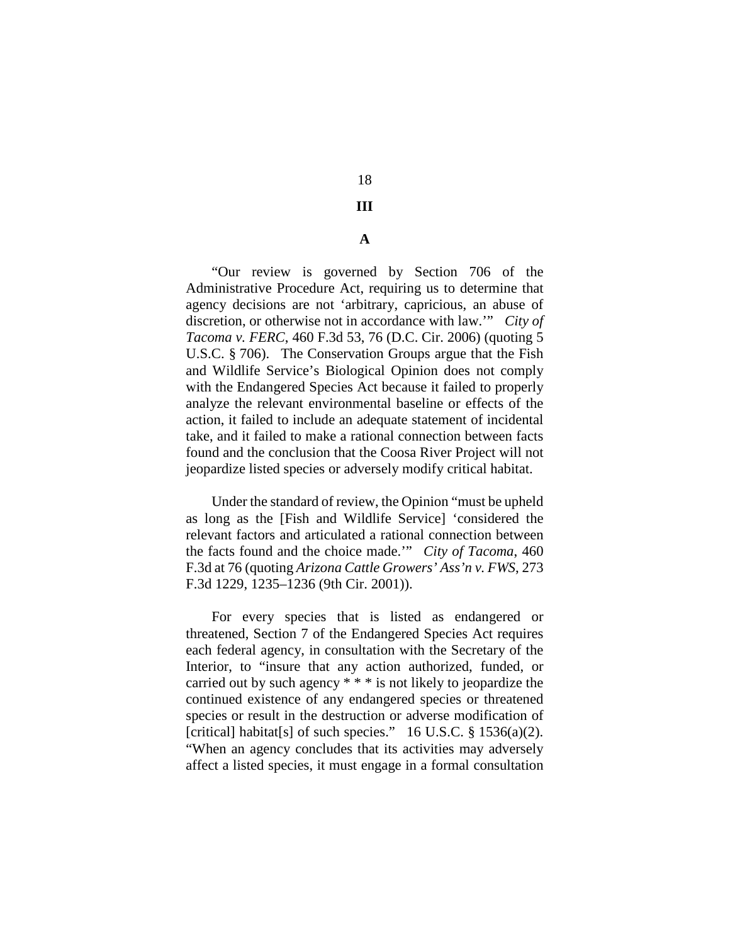## 18

## **III**

## **A**

"Our review is governed by Section 706 of the Administrative Procedure Act, requiring us to determine that agency decisions are not 'arbitrary, capricious, an abuse of discretion, or otherwise not in accordance with law.'" *City of Tacoma v. FERC*, 460 F.3d 53, 76 (D.C. Cir. 2006) (quoting 5 U.S.C. § 706). The Conservation Groups argue that the Fish and Wildlife Service's Biological Opinion does not comply with the Endangered Species Act because it failed to properly analyze the relevant environmental baseline or effects of the action, it failed to include an adequate statement of incidental take, and it failed to make a rational connection between facts found and the conclusion that the Coosa River Project will not jeopardize listed species or adversely modify critical habitat.

Under the standard of review, the Opinion "must be upheld as long as the [Fish and Wildlife Service] 'considered the relevant factors and articulated a rational connection between the facts found and the choice made.'" *City of Tacoma*, 460 F.3d at 76 (quoting *Arizona Cattle Growers' Ass'n v. FWS*, 273 F.3d 1229, 1235–1236 (9th Cir. 2001)).

For every species that is listed as endangered or threatened, Section 7 of the Endangered Species Act requires each federal agency, in consultation with the Secretary of the Interior, to "insure that any action authorized, funded, or carried out by such agency \* \* \* is not likely to jeopardize the continued existence of any endangered species or threatened species or result in the destruction or adverse modification of [critical] habitat[s] of such species."  $16$  U.S.C. § 1536(a)(2). "When an agency concludes that its activities may adversely affect a listed species, it must engage in a formal consultation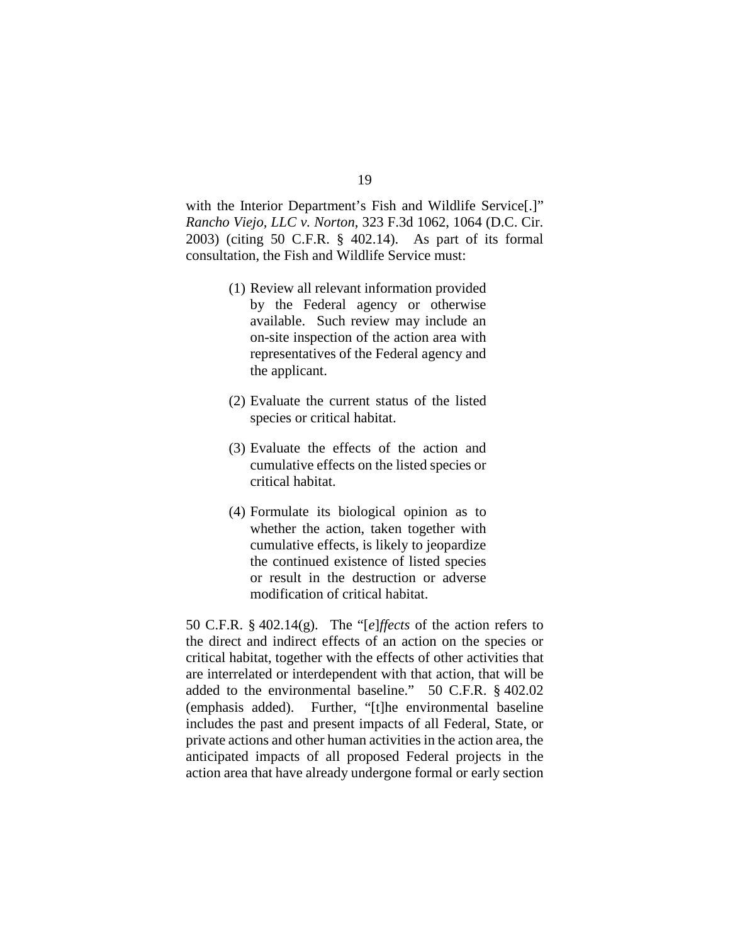with the Interior Department's Fish and Wildlife Service[.]" *Rancho Viejo, LLC v. Norton*, 323 F.3d 1062, 1064 (D.C. Cir. 2003) (citing 50 C.F.R. § 402.14). As part of its formal consultation, the Fish and Wildlife Service must:

- (1) Review all relevant information provided by the Federal agency or otherwise available. Such review may include an on-site inspection of the action area with representatives of the Federal agency and the applicant.
- (2) Evaluate the current status of the listed species or critical habitat.
- (3) Evaluate the effects of the action and cumulative effects on the listed species or critical habitat.
- (4) Formulate its biological opinion as to whether the action, taken together with cumulative effects, is likely to jeopardize the continued existence of listed species or result in the destruction or adverse modification of critical habitat.

50 C.F.R. § 402.14(g). The "[*e*]*ffects* of the action refers to the direct and indirect effects of an action on the species or critical habitat, together with the effects of other activities that are interrelated or interdependent with that action, that will be added to the environmental baseline." 50 C.F.R. § 402.02 (emphasis added). Further, "[t]he environmental baseline includes the past and present impacts of all Federal, State, or private actions and other human activities in the action area, the anticipated impacts of all proposed Federal projects in the action area that have already undergone formal or early section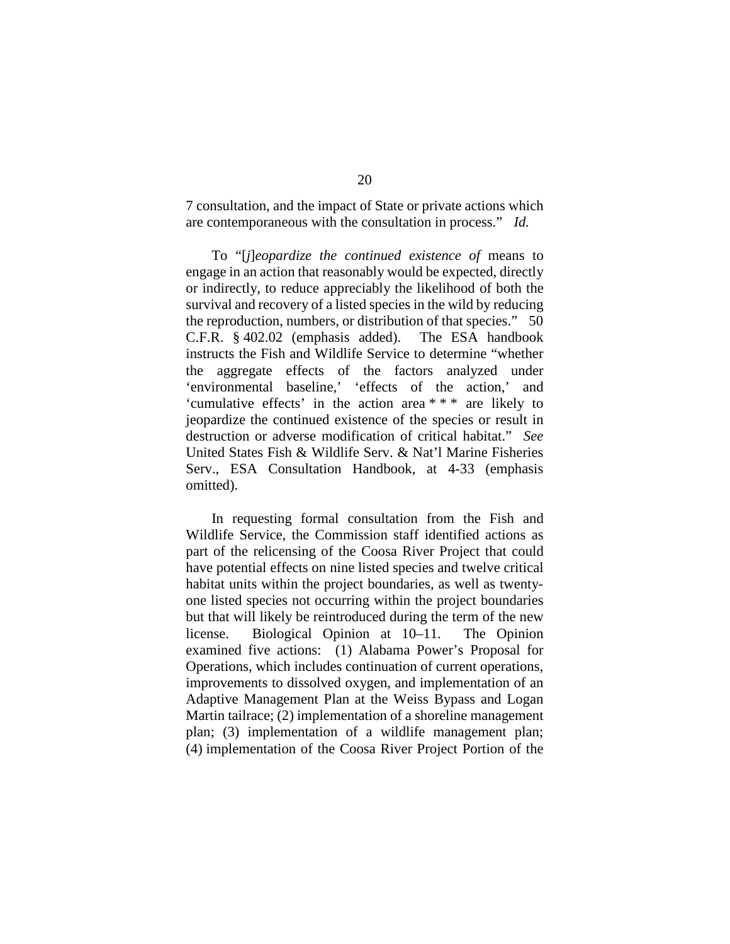7 consultation, and the impact of State or private actions which are contemporaneous with the consultation in process." *Id.*

To "[*j*]*eopardize the continued existence of* means to engage in an action that reasonably would be expected, directly or indirectly, to reduce appreciably the likelihood of both the survival and recovery of a listed species in the wild by reducing the reproduction, numbers, or distribution of that species." 50 C.F.R. § 402.02 (emphasis added). The ESA handbook instructs the Fish and Wildlife Service to determine "whether the aggregate effects of the factors analyzed under 'environmental baseline,' 'effects of the action,' and 'cumulative effects' in the action area \* \* \* are likely to jeopardize the continued existence of the species or result in destruction or adverse modification of critical habitat." *See*  United States Fish & Wildlife Serv. & Nat'l Marine Fisheries Serv., ESA Consultation Handbook, at 4-33 (emphasis omitted).

In requesting formal consultation from the Fish and Wildlife Service, the Commission staff identified actions as part of the relicensing of the Coosa River Project that could have potential effects on nine listed species and twelve critical habitat units within the project boundaries, as well as twentyone listed species not occurring within the project boundaries but that will likely be reintroduced during the term of the new license.Biological Opinion at 10–11. The Opinion examined five actions: (1) Alabama Power's Proposal for Operations, which includes continuation of current operations, improvements to dissolved oxygen, and implementation of an Adaptive Management Plan at the Weiss Bypass and Logan Martin tailrace; (2) implementation of a shoreline management plan; (3) implementation of a wildlife management plan; (4) implementation of the Coosa River Project Portion of the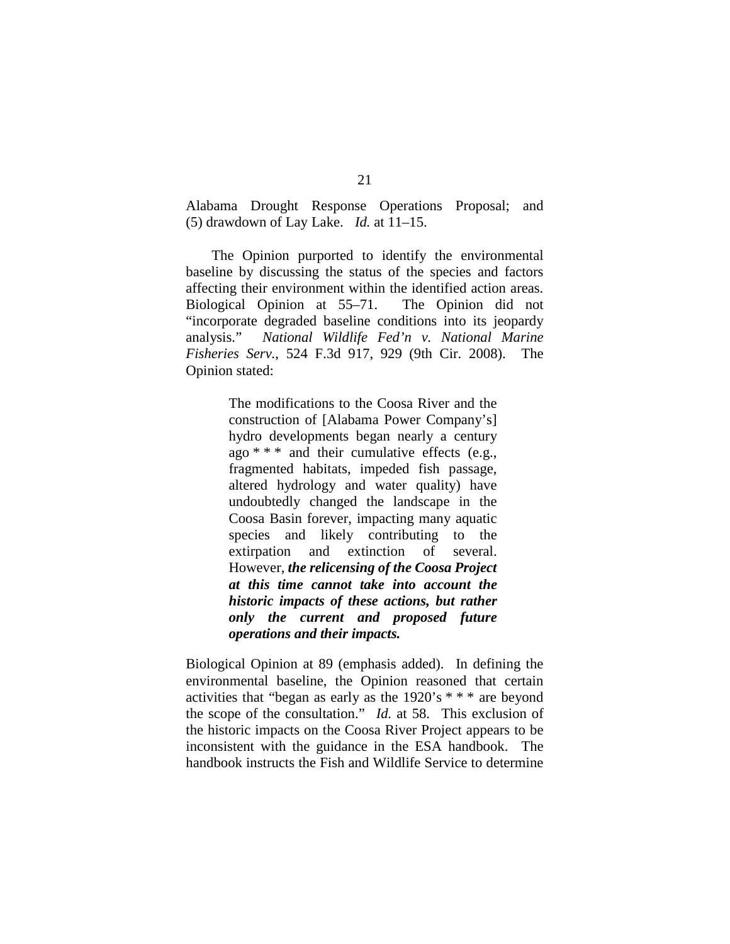Alabama Drought Response Operations Proposal; and (5) drawdown of Lay Lake. *Id.* at 11–15.

The Opinion purported to identify the environmental baseline by discussing the status of the species and factors affecting their environment within the identified action areas. Biological Opinion at 55–71. The Opinion did not "incorporate degraded baseline conditions into its jeopardy analysis." *National Wildlife Fed'n v. National Marine Fisheries Serv.*, 524 F.3d 917, 929 (9th Cir. 2008). The Opinion stated:

> The modifications to the Coosa River and the construction of [Alabama Power Company's] hydro developments began nearly a century ago  $***$  and their cumulative effects (e.g., fragmented habitats, impeded fish passage, altered hydrology and water quality) have undoubtedly changed the landscape in the Coosa Basin forever, impacting many aquatic species and likely contributing to the extirpation and extinction of several. However, *the relicensing of the Coosa Project at this time cannot take into account the historic impacts of these actions, but rather only the current and proposed future operations and their impacts.*

Biological Opinion at 89 (emphasis added). In defining the environmental baseline, the Opinion reasoned that certain activities that "began as early as the 1920's \* \* \* are beyond the scope of the consultation." *Id.* at 58. This exclusion of the historic impacts on the Coosa River Project appears to be inconsistent with the guidance in the ESA handbook. The handbook instructs the Fish and Wildlife Service to determine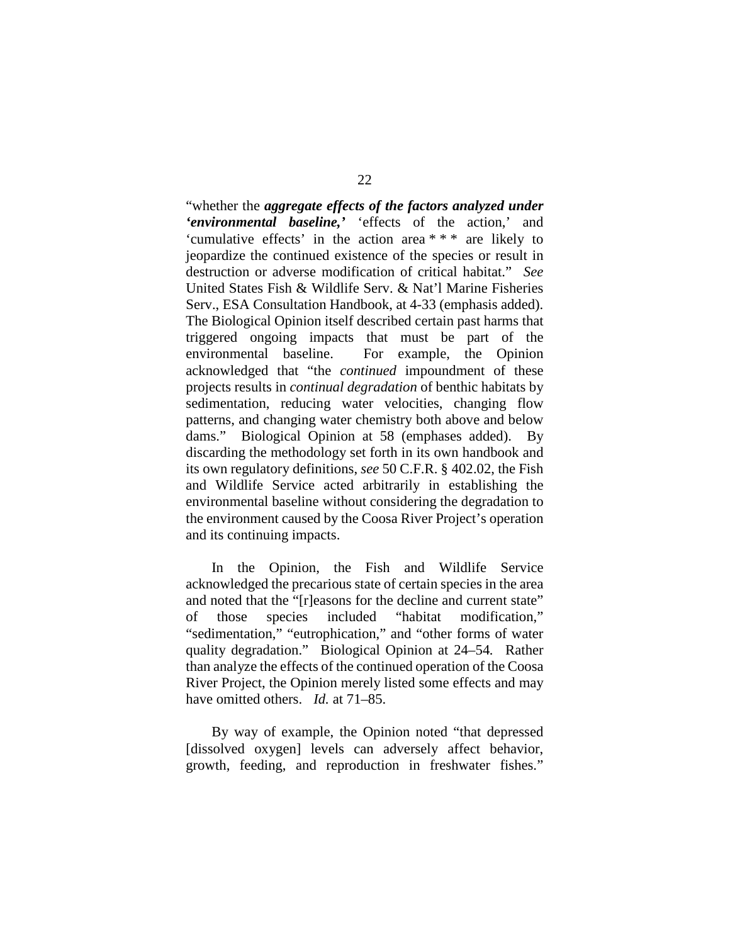"whether the *aggregate effects of the factors analyzed under 'environmental baseline,'* 'effects of the action,' and 'cumulative effects' in the action area \* \* \* are likely to jeopardize the continued existence of the species or result in destruction or adverse modification of critical habitat." *See*  United States Fish & Wildlife Serv. & Nat'l Marine Fisheries Serv., ESA Consultation Handbook, at 4-33 (emphasis added). The Biological Opinion itself described certain past harms that triggered ongoing impacts that must be part of the environmental baseline. For example, the Opinion acknowledged that "the *continued* impoundment of these projects results in *continual degradation* of benthic habitats by sedimentation, reducing water velocities, changing flow patterns, and changing water chemistry both above and below dams." Biological Opinion at 58 (emphases added). By discarding the methodology set forth in its own handbook and its own regulatory definitions, *see* 50 C.F.R. § 402.02, the Fish and Wildlife Service acted arbitrarily in establishing the environmental baseline without considering the degradation to the environment caused by the Coosa River Project's operation and its continuing impacts.

In the Opinion, the Fish and Wildlife Service acknowledged the precarious state of certain species in the area and noted that the "[r]easons for the decline and current state" of those species included "habitat modification," "sedimentation," "eutrophication," and "other forms of water quality degradation." Biological Opinion at 24–54*.* Rather than analyze the effects of the continued operation of the Coosa River Project, the Opinion merely listed some effects and may have omitted others. *Id.* at 71–85.

By way of example, the Opinion noted "that depressed [dissolved oxygen] levels can adversely affect behavior, growth, feeding, and reproduction in freshwater fishes."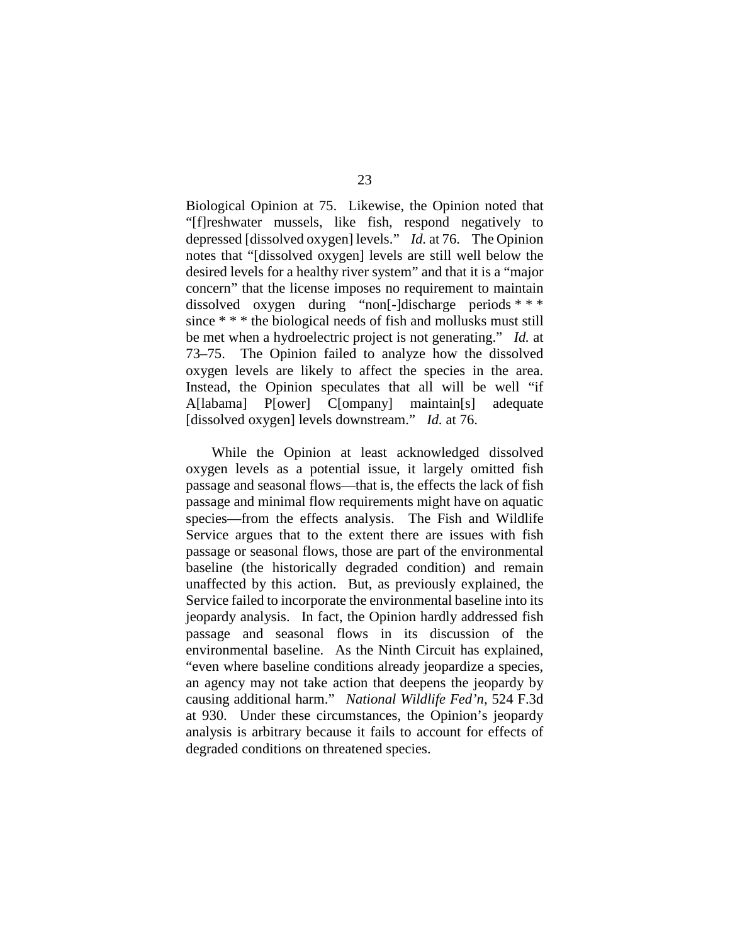Biological Opinion at 75. Likewise, the Opinion noted that "[f]reshwater mussels, like fish, respond negatively to depressed [dissolved oxygen] levels." *Id.* at 76. The Opinion notes that "[dissolved oxygen] levels are still well below the desired levels for a healthy river system" and that it is a "major concern" that the license imposes no requirement to maintain dissolved oxygen during "non[-]discharge periods \* \* \* since \* \* \* the biological needs of fish and mollusks must still be met when a hydroelectric project is not generating." *Id.* at 73–75. The Opinion failed to analyze how the dissolved oxygen levels are likely to affect the species in the area. Instead, the Opinion speculates that all will be well "if A[labama] P[ower] C[ompany] maintain[s] adequate [dissolved oxygen] levels downstream." *Id.* at 76.

While the Opinion at least acknowledged dissolved oxygen levels as a potential issue, it largely omitted fish passage and seasonal flows—that is, the effects the lack of fish passage and minimal flow requirements might have on aquatic species—from the effects analysis. The Fish and Wildlife Service argues that to the extent there are issues with fish passage or seasonal flows, those are part of the environmental baseline (the historically degraded condition) and remain unaffected by this action. But, as previously explained, the Service failed to incorporate the environmental baseline into its jeopardy analysis. In fact, the Opinion hardly addressed fish passage and seasonal flows in its discussion of the environmental baseline. As the Ninth Circuit has explained, "even where baseline conditions already jeopardize a species, an agency may not take action that deepens the jeopardy by causing additional harm." *National Wildlife Fed'n*, 524 F.3d at 930. Under these circumstances, the Opinion's jeopardy analysis is arbitrary because it fails to account for effects of degraded conditions on threatened species.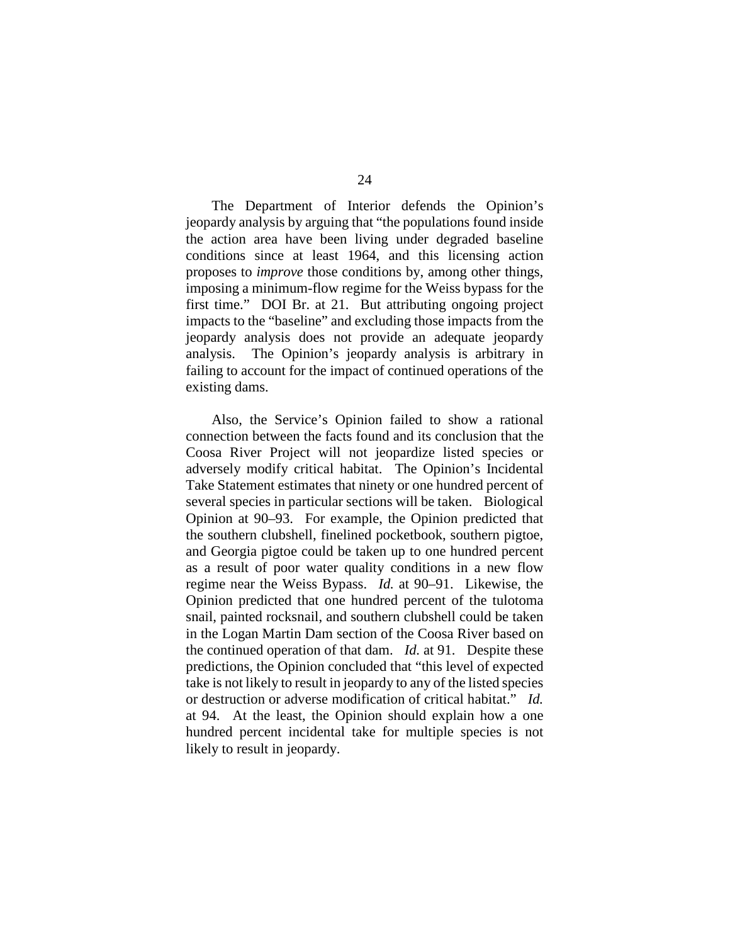The Department of Interior defends the Opinion's jeopardy analysis by arguing that "the populations found inside the action area have been living under degraded baseline conditions since at least 1964, and this licensing action proposes to *improve* those conditions by, among other things, imposing a minimum-flow regime for the Weiss bypass for the first time." DOI Br. at 21. But attributing ongoing project impacts to the "baseline" and excluding those impacts from the jeopardy analysis does not provide an adequate jeopardy analysis. The Opinion's jeopardy analysis is arbitrary in failing to account for the impact of continued operations of the existing dams.

Also, the Service's Opinion failed to show a rational connection between the facts found and its conclusion that the Coosa River Project will not jeopardize listed species or adversely modify critical habitat. The Opinion's Incidental Take Statement estimates that ninety or one hundred percent of several species in particular sections will be taken. Biological Opinion at 90–93. For example, the Opinion predicted that the southern clubshell, finelined pocketbook, southern pigtoe, and Georgia pigtoe could be taken up to one hundred percent as a result of poor water quality conditions in a new flow regime near the Weiss Bypass. *Id.* at 90–91. Likewise, the Opinion predicted that one hundred percent of the tulotoma snail, painted rocksnail, and southern clubshell could be taken in the Logan Martin Dam section of the Coosa River based on the continued operation of that dam. *Id.* at 91. Despite these predictions, the Opinion concluded that "this level of expected take is not likely to result in jeopardy to any of the listed species or destruction or adverse modification of critical habitat." *Id.* at 94. At the least, the Opinion should explain how a one hundred percent incidental take for multiple species is not likely to result in jeopardy.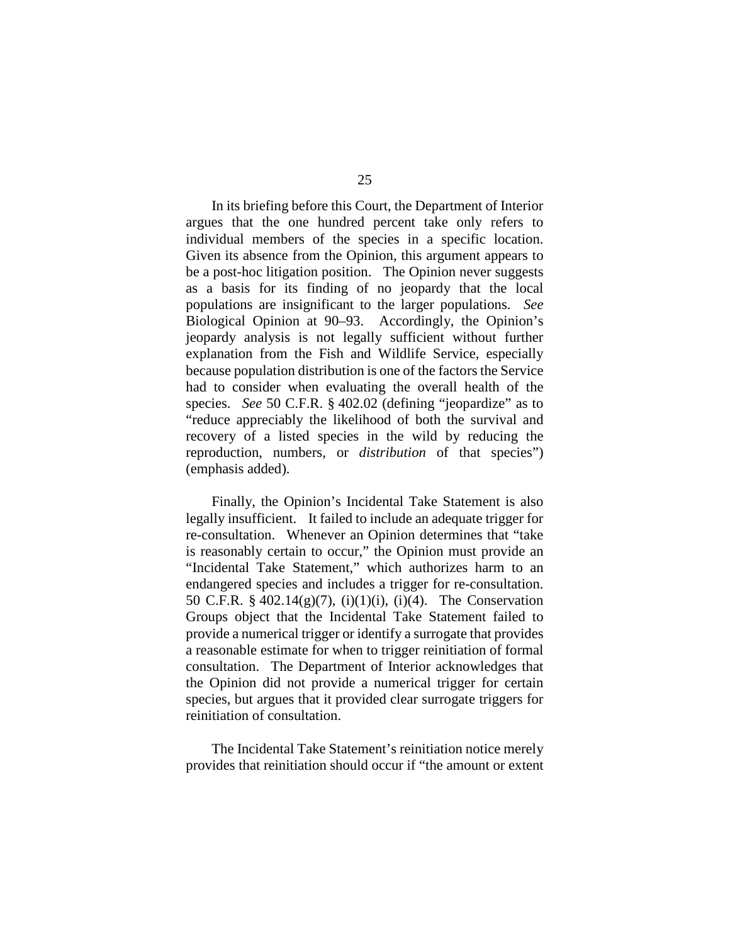In its briefing before this Court, the Department of Interior argues that the one hundred percent take only refers to individual members of the species in a specific location. Given its absence from the Opinion, this argument appears to be a post-hoc litigation position. The Opinion never suggests as a basis for its finding of no jeopardy that the local populations are insignificant to the larger populations. *See*  Biological Opinion at 90–93. Accordingly, the Opinion's jeopardy analysis is not legally sufficient without further explanation from the Fish and Wildlife Service, especially because population distribution is one of the factors the Service had to consider when evaluating the overall health of the species. *See* 50 C.F.R. § 402.02 (defining "jeopardize" as to "reduce appreciably the likelihood of both the survival and recovery of a listed species in the wild by reducing the reproduction, numbers, or *distribution* of that species") (emphasis added).

Finally, the Opinion's Incidental Take Statement is also legally insufficient. It failed to include an adequate trigger for re-consultation. Whenever an Opinion determines that "take is reasonably certain to occur," the Opinion must provide an "Incidental Take Statement," which authorizes harm to an endangered species and includes a trigger for re-consultation. 50 C.F.R. § 402.14(g)(7), (i)(1)(i), (i)(4). The Conservation Groups object that the Incidental Take Statement failed to provide a numerical trigger or identify a surrogate that provides a reasonable estimate for when to trigger reinitiation of formal consultation. The Department of Interior acknowledges that the Opinion did not provide a numerical trigger for certain species, but argues that it provided clear surrogate triggers for reinitiation of consultation.

The Incidental Take Statement's reinitiation notice merely provides that reinitiation should occur if "the amount or extent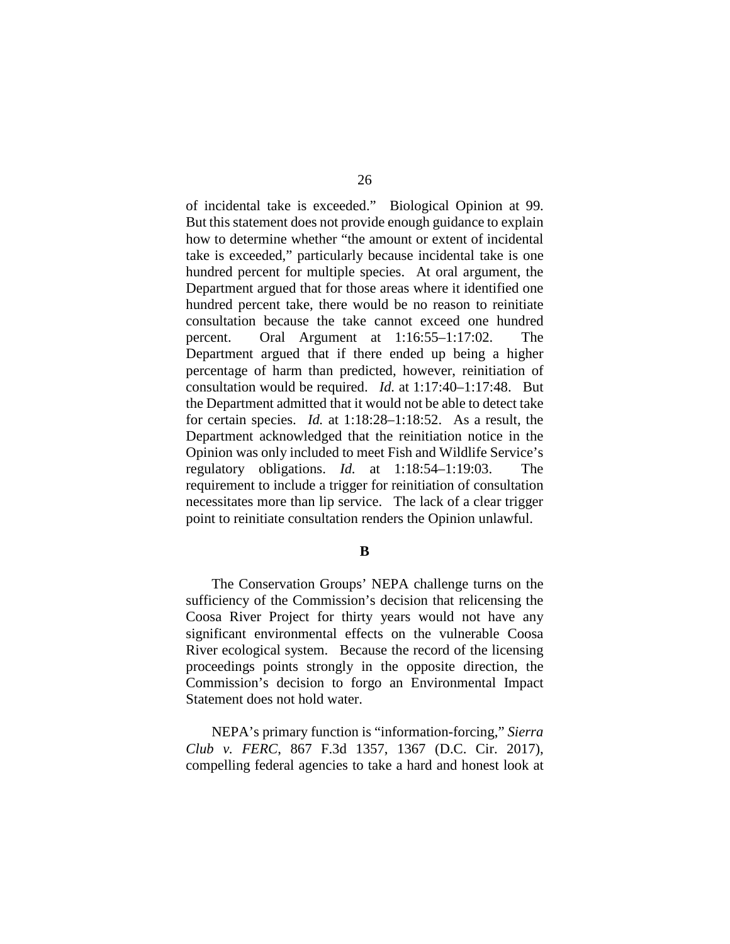of incidental take is exceeded." Biological Opinion at 99. But this statement does not provide enough guidance to explain how to determine whether "the amount or extent of incidental take is exceeded," particularly because incidental take is one hundred percent for multiple species. At oral argument, the Department argued that for those areas where it identified one hundred percent take, there would be no reason to reinitiate consultation because the take cannot exceed one hundred percent. Oral Argument at 1:16:55–1:17:02. The Department argued that if there ended up being a higher percentage of harm than predicted, however, reinitiation of consultation would be required. *Id.* at 1:17:40–1:17:48. But the Department admitted that it would not be able to detect take for certain species. *Id.* at 1:18:28–1:18:52. As a result, the Department acknowledged that the reinitiation notice in the Opinion was only included to meet Fish and Wildlife Service's regulatory obligations. *Id.* at 1:18:54–1:19:03. The requirement to include a trigger for reinitiation of consultation necessitates more than lip service. The lack of a clear trigger point to reinitiate consultation renders the Opinion unlawful.

**B**

The Conservation Groups' NEPA challenge turns on the sufficiency of the Commission's decision that relicensing the Coosa River Project for thirty years would not have any significant environmental effects on the vulnerable Coosa River ecological system. Because the record of the licensing proceedings points strongly in the opposite direction, the Commission's decision to forgo an Environmental Impact Statement does not hold water.

NEPA's primary function is "information-forcing," *Sierra Club v. FERC*, 867 F.3d 1357, 1367 (D.C. Cir. 2017), compelling federal agencies to take a hard and honest look at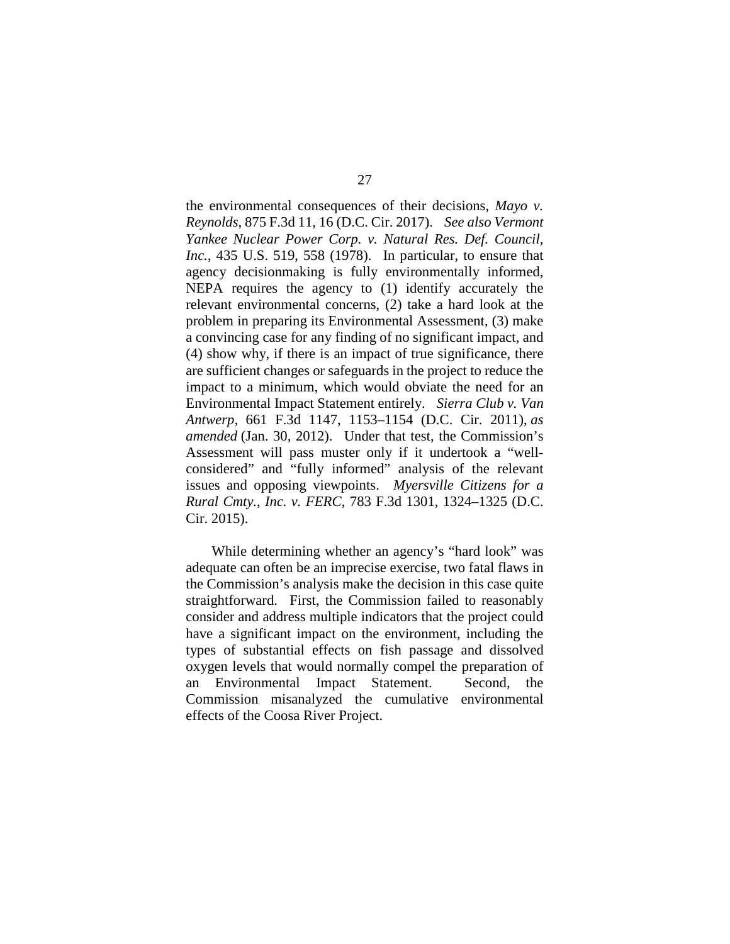the environmental consequences of their decisions, *Mayo v. Reynolds*, 875 F.3d 11, 16 (D.C. Cir. 2017). *See also Vermont Yankee Nuclear Power Corp. v. Natural Res. Def. Council, Inc.*, 435 U.S. 519, 558 (1978). In particular, to ensure that agency decisionmaking is fully environmentally informed, NEPA requires the agency to (1) identify accurately the relevant environmental concerns, (2) take a hard look at the problem in preparing its Environmental Assessment, (3) make a convincing case for any finding of no significant impact, and (4) show why, if there is an impact of true significance, there are sufficient changes or safeguards in the project to reduce the impact to a minimum, which would obviate the need for an Environmental Impact Statement entirely. *Sierra Club v. Van Antwerp*, 661 F.3d 1147, 1153–1154 (D.C. Cir. 2011), *as amended* (Jan. 30, 2012). Under that test, the Commission's Assessment will pass muster only if it undertook a "wellconsidered" and "fully informed" analysis of the relevant issues and opposing viewpoints. *Myersville Citizens for a Rural Cmty., Inc. v. FERC*, 783 F.3d 1301, 1324–1325 (D.C. Cir. 2015).

While determining whether an agency's "hard look" was adequate can often be an imprecise exercise, two fatal flaws in the Commission's analysis make the decision in this case quite straightforward. First, the Commission failed to reasonably consider and address multiple indicators that the project could have a significant impact on the environment, including the types of substantial effects on fish passage and dissolved oxygen levels that would normally compel the preparation of an Environmental Impact Statement. Second, the Commission misanalyzed the cumulative environmental effects of the Coosa River Project.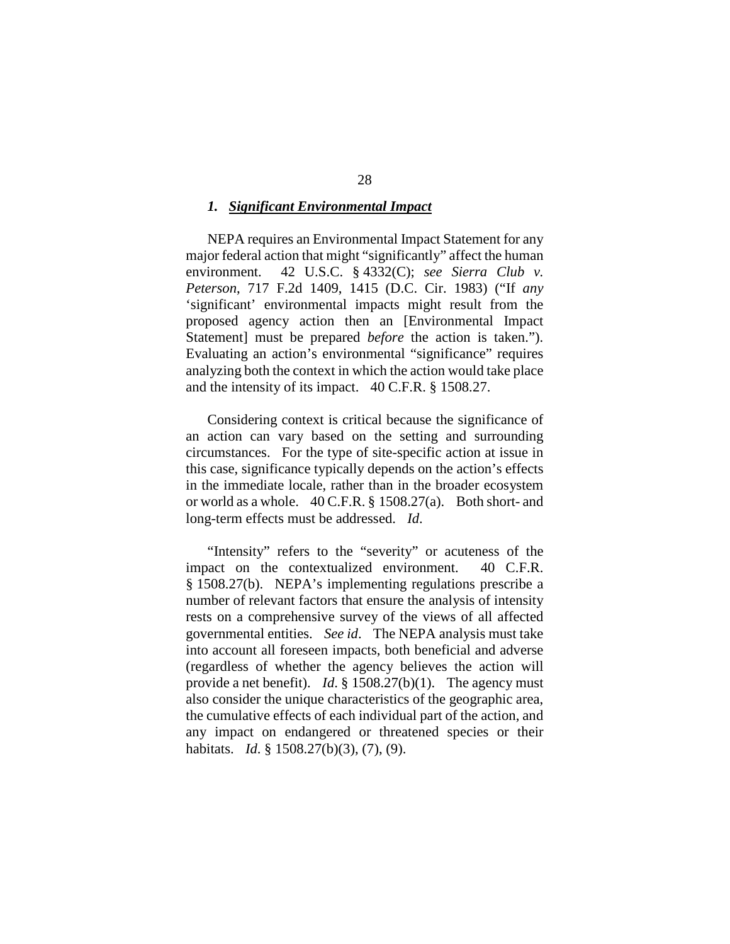#### *1. Significant Environmental Impact*

NEPA requires an Environmental Impact Statement for any major federal action that might "significantly" affect the human environment. 42 U.S.C. § 4332(C); *see Sierra Club v. Peterson*, 717 F.2d 1409, 1415 (D.C. Cir. 1983) ("If *any* 'significant' environmental impacts might result from the proposed agency action then an [Environmental Impact Statement] must be prepared *before* the action is taken."). Evaluating an action's environmental "significance" requires analyzing both the context in which the action would take place and the intensity of its impact. 40 C.F.R. § 1508.27.

Considering context is critical because the significance of an action can vary based on the setting and surrounding circumstances. For the type of site-specific action at issue in this case, significance typically depends on the action's effects in the immediate locale, rather than in the broader ecosystem or world as a whole. 40 C.F.R. § 1508.27(a).Both short- and long-term effects must be addressed. *Id*.

"Intensity" refers to the "severity" or acuteness of the impact on the contextualized environment. 40 C.F.R. § 1508.27(b). NEPA's implementing regulations prescribe a number of relevant factors that ensure the analysis of intensity rests on a comprehensive survey of the views of all affected governmental entities. *See id*. The NEPA analysis must take into account all foreseen impacts, both beneficial and adverse (regardless of whether the agency believes the action will provide a net benefit). *Id*. § 1508.27(b)(1). The agency must also consider the unique characteristics of the geographic area, the cumulative effects of each individual part of the action, and any impact on endangered or threatened species or their habitats. *Id*. § 1508.27(b)(3), (7), (9).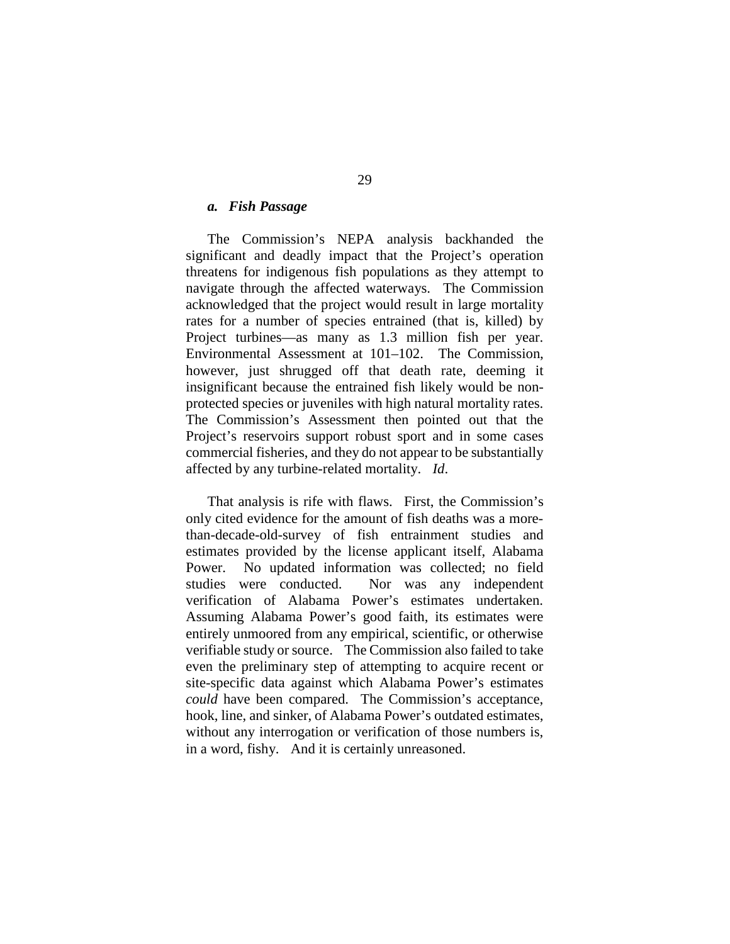## *a. Fish Passage*

The Commission's NEPA analysis backhanded the significant and deadly impact that the Project's operation threatens for indigenous fish populations as they attempt to navigate through the affected waterways. The Commission acknowledged that the project would result in large mortality rates for a number of species entrained (that is, killed) by Project turbines—as many as 1.3 million fish per year. Environmental Assessment at 101–102. The Commission, however, just shrugged off that death rate, deeming it insignificant because the entrained fish likely would be nonprotected species or juveniles with high natural mortality rates. The Commission's Assessment then pointed out that the Project's reservoirs support robust sport and in some cases commercial fisheries, and they do not appear to be substantially affected by any turbine-related mortality. *Id*.

That analysis is rife with flaws. First, the Commission's only cited evidence for the amount of fish deaths was a morethan-decade-old-survey of fish entrainment studies and estimates provided by the license applicant itself, Alabama Power. No updated information was collected; no field studies were conducted. Nor was any independent verification of Alabama Power's estimates undertaken. Assuming Alabama Power's good faith, its estimates were entirely unmoored from any empirical, scientific, or otherwise verifiable study or source. The Commission also failed to take even the preliminary step of attempting to acquire recent or site-specific data against which Alabama Power's estimates *could* have been compared. The Commission's acceptance, hook, line, and sinker, of Alabama Power's outdated estimates, without any interrogation or verification of those numbers is, in a word, fishy. And it is certainly unreasoned.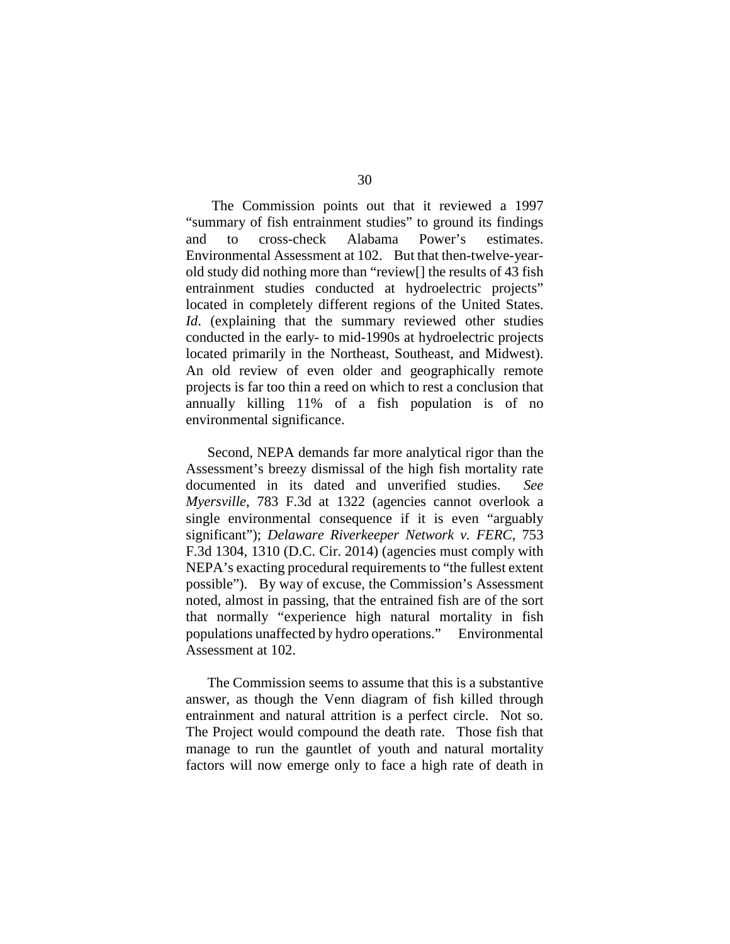The Commission points out that it reviewed a 1997 "summary of fish entrainment studies" to ground its findings and to cross-check Alabama Power's estimates. Environmental Assessment at 102. But that then-twelve-yearold study did nothing more than "review[] the results of 43 fish entrainment studies conducted at hydroelectric projects" located in completely different regions of the United States. *Id*. (explaining that the summary reviewed other studies conducted in the early- to mid-1990s at hydroelectric projects located primarily in the Northeast, Southeast, and Midwest). An old review of even older and geographically remote projects is far too thin a reed on which to rest a conclusion that annually killing 11% of a fish population is of no environmental significance.

Second, NEPA demands far more analytical rigor than the Assessment's breezy dismissal of the high fish mortality rate documented in its dated and unverified studies. *See Myersville*, 783 F.3d at 1322 (agencies cannot overlook a single environmental consequence if it is even "arguably significant"); *Delaware Riverkeeper Network v. FERC*, 753 F.3d 1304, 1310 (D.C. Cir. 2014) (agencies must comply with NEPA's exacting procedural requirements to "the fullest extent possible").By way of excuse, the Commission's Assessment noted, almost in passing, that the entrained fish are of the sort that normally "experience high natural mortality in fish populations unaffected by hydro operations." Environmental Assessment at 102.

The Commission seems to assume that this is a substantive answer, as though the Venn diagram of fish killed through entrainment and natural attrition is a perfect circle. Not so. The Project would compound the death rate. Those fish that manage to run the gauntlet of youth and natural mortality factors will now emerge only to face a high rate of death in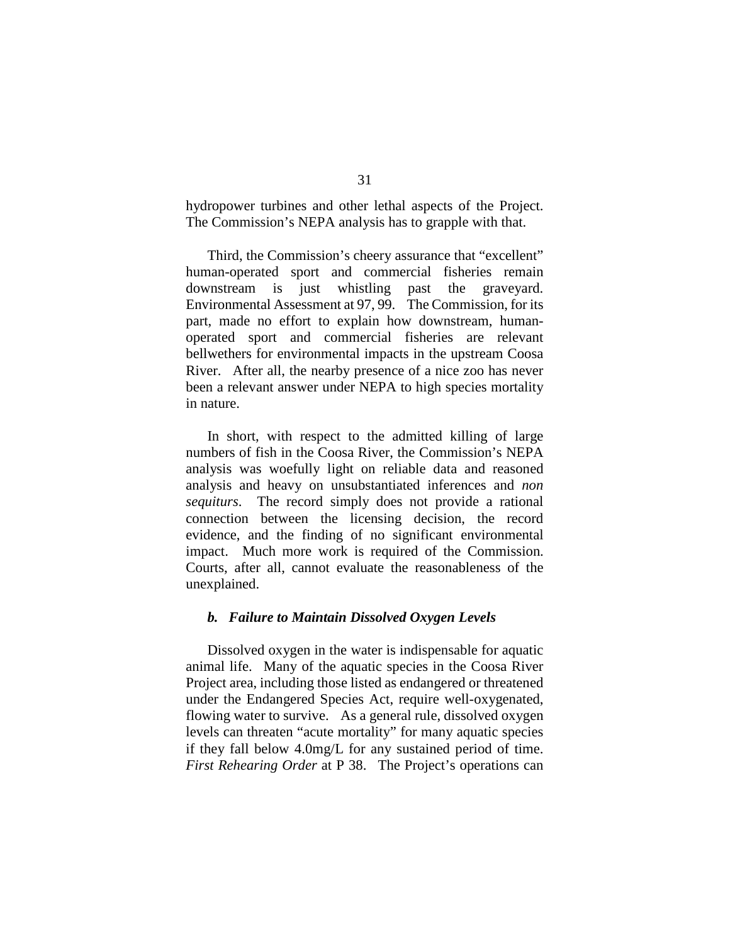hydropower turbines and other lethal aspects of the Project. The Commission's NEPA analysis has to grapple with that.

Third, the Commission's cheery assurance that "excellent" human-operated sport and commercial fisheries remain downstream is just whistling past the graveyard. Environmental Assessment at 97, 99. The Commission, for its part, made no effort to explain how downstream, humanoperated sport and commercial fisheries are relevant bellwethers for environmental impacts in the upstream Coosa River. After all, the nearby presence of a nice zoo has never been a relevant answer under NEPA to high species mortality in nature.

In short, with respect to the admitted killing of large numbers of fish in the Coosa River, the Commission's NEPA analysis was woefully light on reliable data and reasoned analysis and heavy on unsubstantiated inferences and *non sequiturs*. The record simply does not provide a rational connection between the licensing decision, the record evidence, and the finding of no significant environmental impact. Much more work is required of the Commission. Courts, after all, cannot evaluate the reasonableness of the unexplained.

## *b. Failure to Maintain Dissolved Oxygen Levels*

Dissolved oxygen in the water is indispensable for aquatic animal life. Many of the aquatic species in the Coosa River Project area, including those listed as endangered or threatened under the Endangered Species Act, require well-oxygenated, flowing water to survive. As a general rule, dissolved oxygen levels can threaten "acute mortality" for many aquatic species if they fall below 4.0mg/L for any sustained period of time. *First Rehearing Order* at P 38. The Project's operations can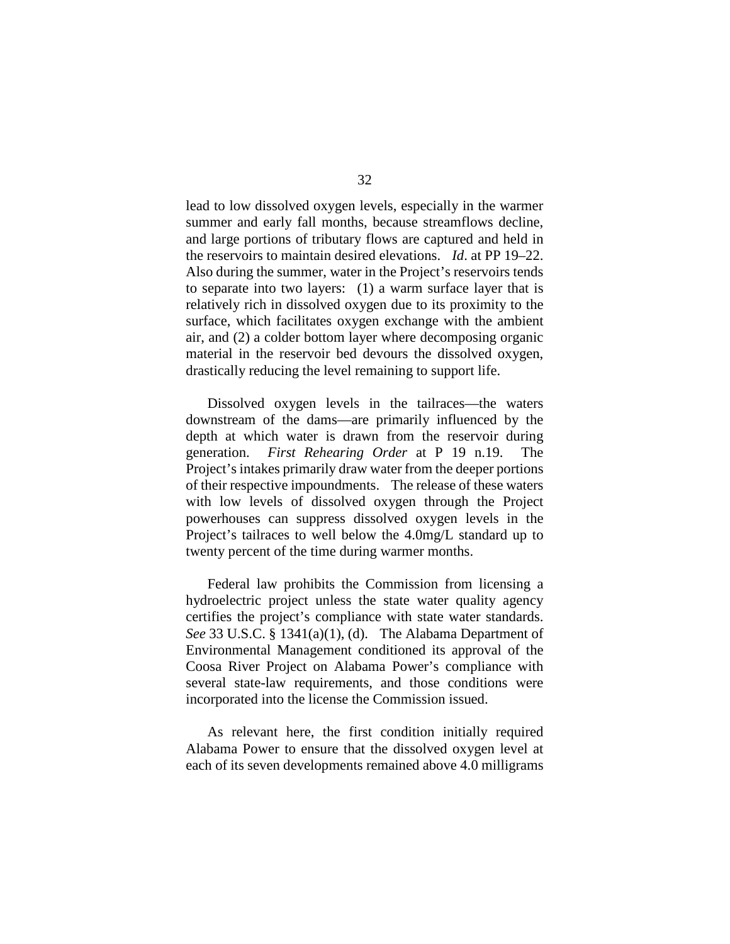lead to low dissolved oxygen levels, especially in the warmer summer and early fall months, because streamflows decline, and large portions of tributary flows are captured and held in the reservoirs to maintain desired elevations. *Id*. at PP 19–22. Also during the summer, water in the Project's reservoirs tends to separate into two layers: (1) a warm surface layer that is relatively rich in dissolved oxygen due to its proximity to the surface, which facilitates oxygen exchange with the ambient air, and (2) a colder bottom layer where decomposing organic material in the reservoir bed devours the dissolved oxygen, drastically reducing the level remaining to support life.

Dissolved oxygen levels in the tailraces—the waters downstream of the dams—are primarily influenced by the depth at which water is drawn from the reservoir during generation. *First Rehearing Order* at P 19 n.19. The Project's intakes primarily draw water from the deeper portions of their respective impoundments. The release of these waters with low levels of dissolved oxygen through the Project powerhouses can suppress dissolved oxygen levels in the Project's tailraces to well below the 4.0mg/L standard up to twenty percent of the time during warmer months.

Federal law prohibits the Commission from licensing a hydroelectric project unless the state water quality agency certifies the project's compliance with state water standards. *See* 33 U.S.C. § 1341(a)(1), (d). The Alabama Department of Environmental Management conditioned its approval of the Coosa River Project on Alabama Power's compliance with several state-law requirements, and those conditions were incorporated into the license the Commission issued.

As relevant here, the first condition initially required Alabama Power to ensure that the dissolved oxygen level at each of its seven developments remained above 4.0 milligrams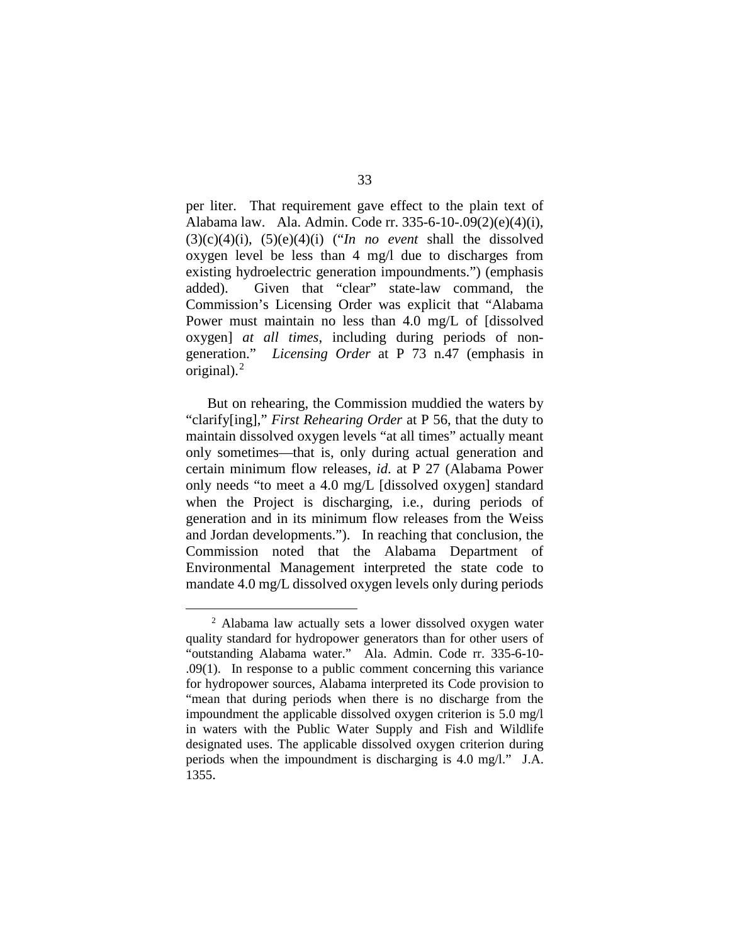per liter. That requirement gave effect to the plain text of Alabama law. Ala. Admin. Code rr. 335-6-10-.09(2)(e)(4)(i), (3)(c)(4)(i), (5)(e)(4)(i) ("*In no event* shall the dissolved oxygen level be less than 4 mg/l due to discharges from existing hydroelectric generation impoundments.") (emphasis added). Given that "clear" state-law command, the Commission's Licensing Order was explicit that "Alabama Power must maintain no less than 4.0 mg/L of [dissolved oxygen] *at all times*, including during periods of nongeneration." *Licensing Order* at P 73 n.47 (emphasis in original). $2$ 

But on rehearing, the Commission muddied the waters by "clarify[ing]," *First Rehearing Order* at P 56, that the duty to maintain dissolved oxygen levels "at all times" actually meant only sometimes—that is, only during actual generation and certain minimum flow releases, *id*. at P 27 (Alabama Power only needs "to meet a 4.0 mg/L [dissolved oxygen] standard when the Project is discharging, i.e*.*, during periods of generation and in its minimum flow releases from the Weiss and Jordan developments."). In reaching that conclusion, the Commission noted that the Alabama Department of Environmental Management interpreted the state code to mandate 4.0 mg/L dissolved oxygen levels only during periods

<span id="page-32-0"></span> <sup>2</sup> Alabama law actually sets a lower dissolved oxygen water quality standard for hydropower generators than for other users of "outstanding Alabama water." Ala. Admin. Code rr. 335-6-10- .09(1). In response to a public comment concerning this variance for hydropower sources, Alabama interpreted its Code provision to "mean that during periods when there is no discharge from the impoundment the applicable dissolved oxygen criterion is 5.0 mg/l in waters with the Public Water Supply and Fish and Wildlife designated uses. The applicable dissolved oxygen criterion during periods when the impoundment is discharging is 4.0 mg/l." J.A. 1355.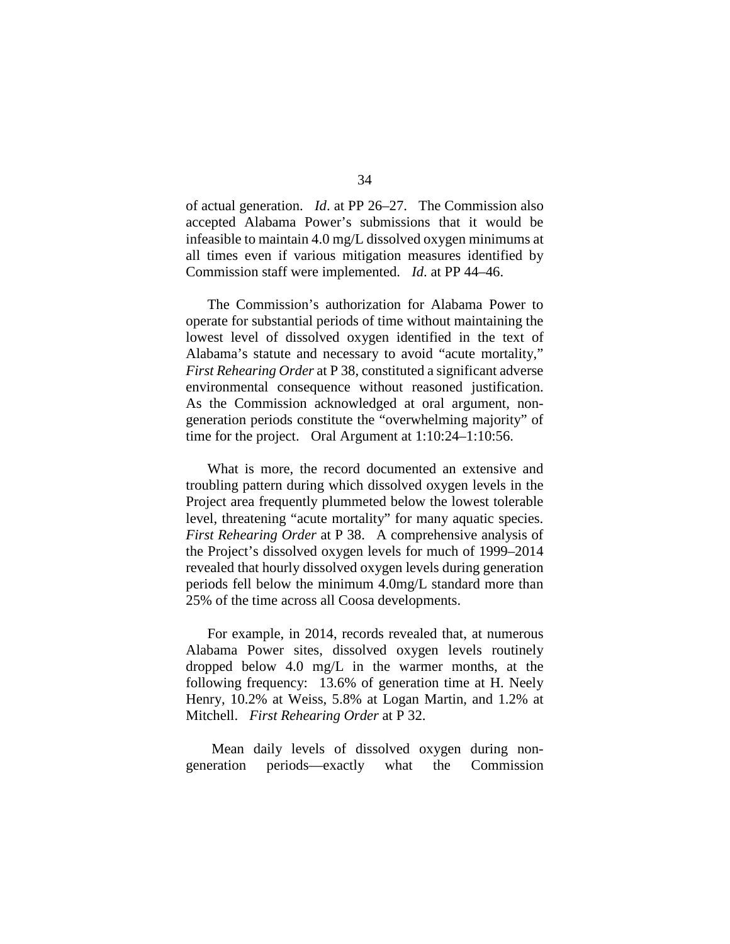of actual generation. *Id*. at PP 26–27. The Commission also accepted Alabama Power's submissions that it would be infeasible to maintain 4.0 mg/L dissolved oxygen minimums at all times even if various mitigation measures identified by Commission staff were implemented. *Id*. at PP 44–46.

The Commission's authorization for Alabama Power to operate for substantial periods of time without maintaining the lowest level of dissolved oxygen identified in the text of Alabama's statute and necessary to avoid "acute mortality," *First Rehearing Order* at P 38, constituted a significant adverse environmental consequence without reasoned justification. As the Commission acknowledged at oral argument, nongeneration periods constitute the "overwhelming majority" of time for the project. Oral Argument at 1:10:24–1:10:56.

What is more, the record documented an extensive and troubling pattern during which dissolved oxygen levels in the Project area frequently plummeted below the lowest tolerable level, threatening "acute mortality" for many aquatic species. *First Rehearing Order* at P 38. A comprehensive analysis of the Project's dissolved oxygen levels for much of 1999–2014 revealed that hourly dissolved oxygen levels during generation periods fell below the minimum 4.0mg/L standard more than 25% of the time across all Coosa developments.

For example, in 2014, records revealed that, at numerous Alabama Power sites, dissolved oxygen levels routinely dropped below 4.0 mg/L in the warmer months, at the following frequency: 13.6% of generation time at H. Neely Henry, 10.2% at Weiss, 5.8% at Logan Martin, and 1.2% at Mitchell. *First Rehearing Order* at P 32.

Mean daily levels of dissolved oxygen during nongeneration periods—exactly what the Commission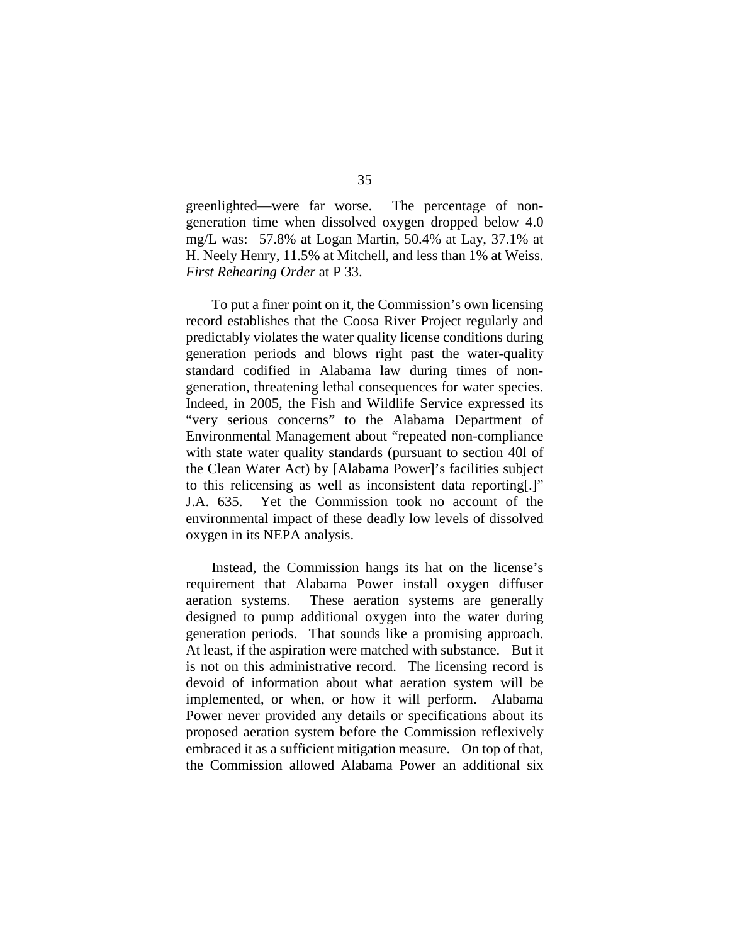greenlighted—were far worse. The percentage of nongeneration time when dissolved oxygen dropped below 4.0 mg/L was: 57.8% at Logan Martin, 50.4% at Lay, 37.1% at H. Neely Henry, 11.5% at Mitchell, and less than 1% at Weiss. *First Rehearing Order* at P 33.

To put a finer point on it, the Commission's own licensing record establishes that the Coosa River Project regularly and predictably violates the water quality license conditions during generation periods and blows right past the water-quality standard codified in Alabama law during times of nongeneration, threatening lethal consequences for water species. Indeed, in 2005, the Fish and Wildlife Service expressed its "very serious concerns" to the Alabama Department of Environmental Management about "repeated non-compliance with state water quality standards (pursuant to section 40l of the Clean Water Act) by [Alabama Power]'s facilities subject to this relicensing as well as inconsistent data reporting[.]" J.A. 635. Yet the Commission took no account of the environmental impact of these deadly low levels of dissolved oxygen in its NEPA analysis.

Instead, the Commission hangs its hat on the license's requirement that Alabama Power install oxygen diffuser aeration systems. These aeration systems are generally designed to pump additional oxygen into the water during generation periods. That sounds like a promising approach. At least, if the aspiration were matched with substance. But it is not on this administrative record. The licensing record is devoid of information about what aeration system will be implemented, or when, or how it will perform. Alabama Power never provided any details or specifications about its proposed aeration system before the Commission reflexively embraced it as a sufficient mitigation measure. On top of that, the Commission allowed Alabama Power an additional six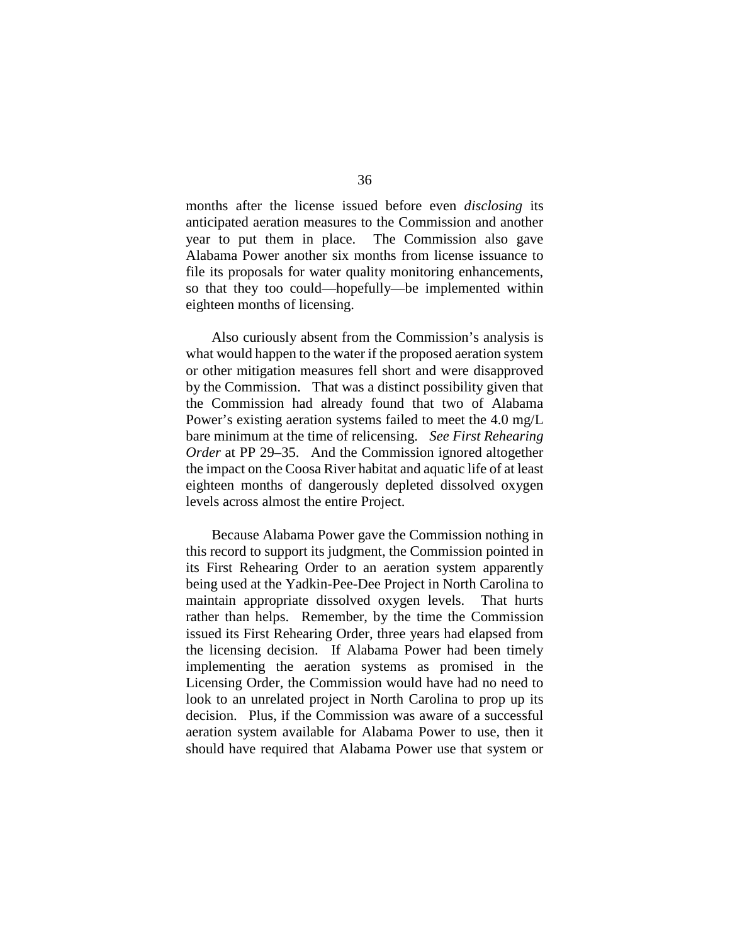months after the license issued before even *disclosing* its anticipated aeration measures to the Commission and another year to put them in place. The Commission also gave Alabama Power another six months from license issuance to file its proposals for water quality monitoring enhancements, so that they too could—hopefully—be implemented within eighteen months of licensing.

Also curiously absent from the Commission's analysis is what would happen to the water if the proposed aeration system or other mitigation measures fell short and were disapproved by the Commission. That was a distinct possibility given that the Commission had already found that two of Alabama Power's existing aeration systems failed to meet the 4.0 mg/L bare minimum at the time of relicensing. *See First Rehearing Order* at PP 29–35. And the Commission ignored altogether the impact on the Coosa River habitat and aquatic life of at least eighteen months of dangerously depleted dissolved oxygen levels across almost the entire Project.

Because Alabama Power gave the Commission nothing in this record to support its judgment, the Commission pointed in its First Rehearing Order to an aeration system apparently being used at the Yadkin-Pee-Dee Project in North Carolina to maintain appropriate dissolved oxygen levels. That hurts rather than helps. Remember, by the time the Commission issued its First Rehearing Order, three years had elapsed from the licensing decision. If Alabama Power had been timely implementing the aeration systems as promised in the Licensing Order, the Commission would have had no need to look to an unrelated project in North Carolina to prop up its decision. Plus, if the Commission was aware of a successful aeration system available for Alabama Power to use, then it should have required that Alabama Power use that system or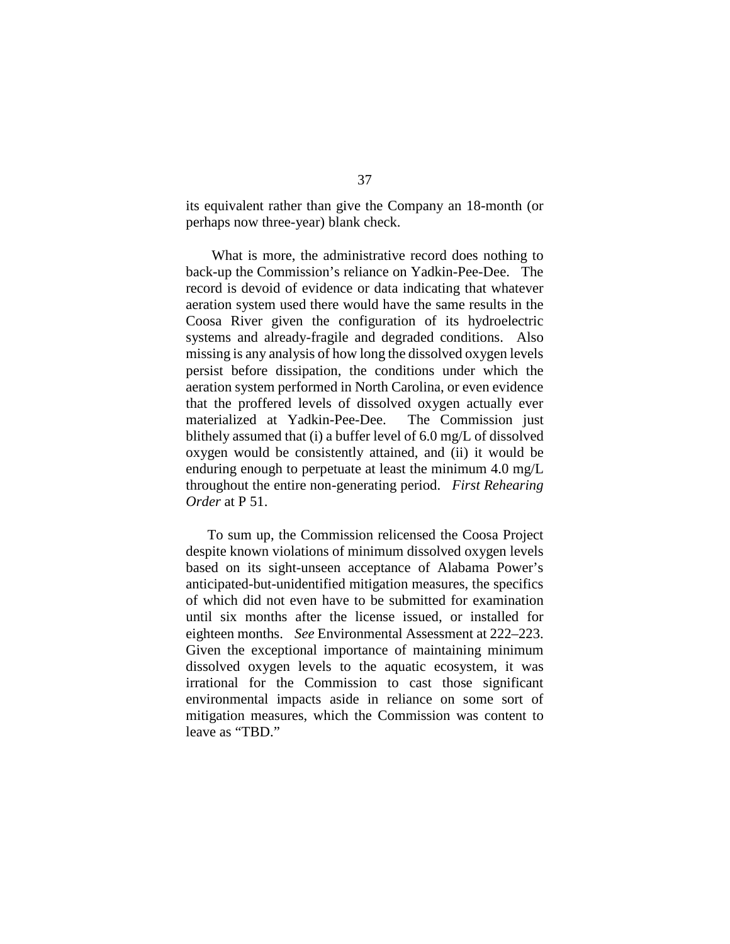its equivalent rather than give the Company an 18-month (or perhaps now three-year) blank check.

What is more, the administrative record does nothing to back-up the Commission's reliance on Yadkin-Pee-Dee. The record is devoid of evidence or data indicating that whatever aeration system used there would have the same results in the Coosa River given the configuration of its hydroelectric systems and already-fragile and degraded conditions. Also missing is any analysis of how long the dissolved oxygen levels persist before dissipation, the conditions under which the aeration system performed in North Carolina, or even evidence that the proffered levels of dissolved oxygen actually ever materialized at Yadkin-Pee-Dee. The Commission just blithely assumed that (i) a buffer level of 6.0 mg/L of dissolved oxygen would be consistently attained, and (ii) it would be enduring enough to perpetuate at least the minimum 4.0 mg/L throughout the entire non-generating period. *First Rehearing Order* at P 51.

To sum up, the Commission relicensed the Coosa Project despite known violations of minimum dissolved oxygen levels based on its sight-unseen acceptance of Alabama Power's anticipated-but-unidentified mitigation measures, the specifics of which did not even have to be submitted for examination until six months after the license issued, or installed for eighteen months. *See* Environmental Assessment at 222–223. Given the exceptional importance of maintaining minimum dissolved oxygen levels to the aquatic ecosystem, it was irrational for the Commission to cast those significant environmental impacts aside in reliance on some sort of mitigation measures, which the Commission was content to leave as "TBD."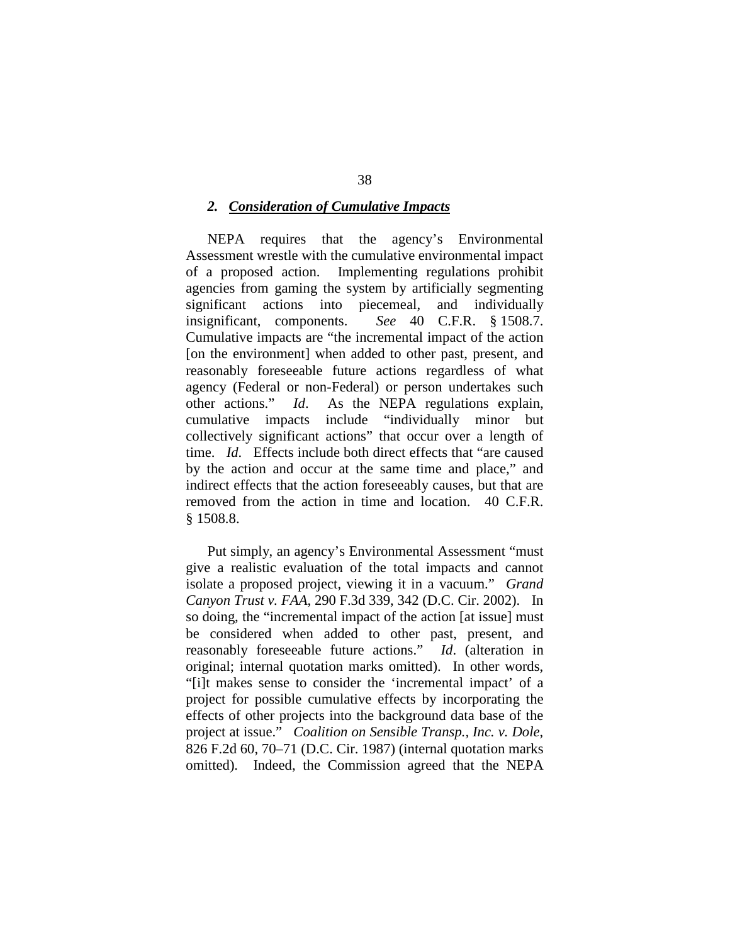#### *2. Consideration of Cumulative Impacts*

NEPA requires that the agency's Environmental Assessment wrestle with the cumulative environmental impact of a proposed action. Implementing regulations prohibit agencies from gaming the system by artificially segmenting significant actions into piecemeal, and individually insignificant, components. *See* 40 C.F.R. § 1508.7. Cumulative impacts are "the incremental impact of the action [on the environment] when added to other past, present, and reasonably foreseeable future actions regardless of what agency (Federal or non-Federal) or person undertakes such other actions." *Id*. As the NEPA regulations explain, cumulative impacts include "individually minor but collectively significant actions" that occur over a length of time. *Id*. Effects include both direct effects that "are caused by the action and occur at the same time and place," and indirect effects that the action foreseeably causes, but that are removed from the action in time and location. 40 C.F.R. § 1508.8.

Put simply, an agency's Environmental Assessment "must give a realistic evaluation of the total impacts and cannot isolate a proposed project, viewing it in a vacuum." *Grand Canyon Trust v. FAA*, 290 F.3d 339, 342 (D.C. Cir. 2002). In so doing, the "incremental impact of the action [at issue] must be considered when added to other past, present, and reasonably foreseeable future actions." *Id*. (alteration in original; internal quotation marks omitted). In other words, "[i]t makes sense to consider the 'incremental impact' of a project for possible cumulative effects by incorporating the effects of other projects into the background data base of the project at issue." *Coalition on Sensible Transp., Inc. v. Dole*, 826 F.2d 60, 70–71 (D.C. Cir. 1987) (internal quotation marks omitted). Indeed, the Commission agreed that the NEPA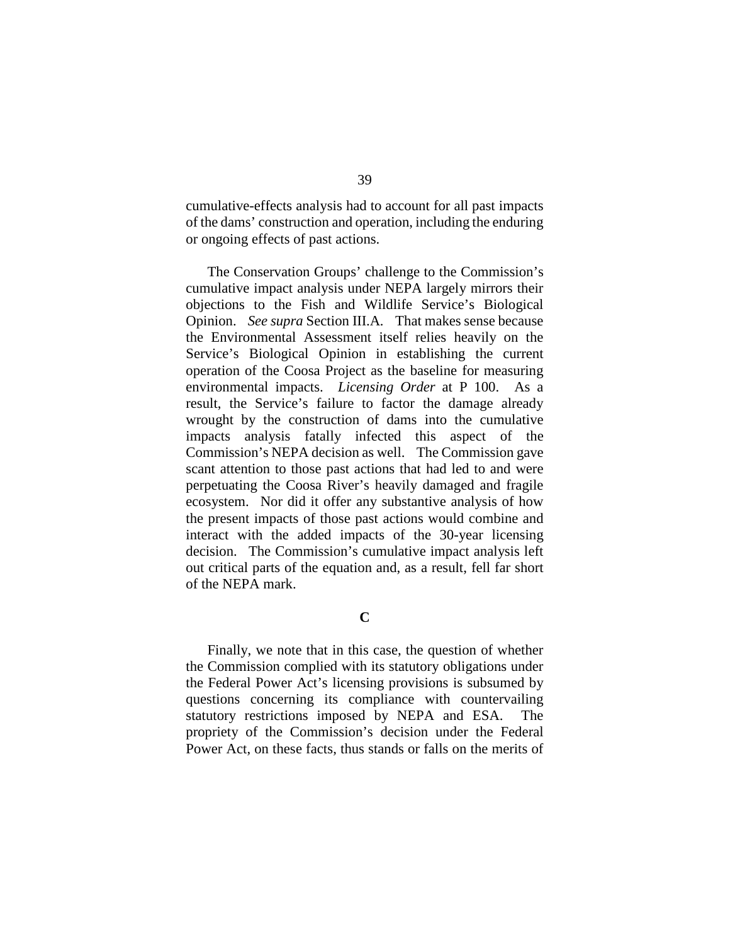cumulative-effects analysis had to account for all past impacts of the dams' construction and operation, including the enduring or ongoing effects of past actions.

The Conservation Groups' challenge to the Commission's cumulative impact analysis under NEPA largely mirrors their objections to the Fish and Wildlife Service's Biological Opinion. *See supra* Section III.A*.* That makes sense because the Environmental Assessment itself relies heavily on the Service's Biological Opinion in establishing the current operation of the Coosa Project as the baseline for measuring environmental impacts. *Licensing Order* at P 100.As a result, the Service's failure to factor the damage already wrought by the construction of dams into the cumulative impacts analysis fatally infected this aspect of the Commission's NEPA decision as well. The Commission gave scant attention to those past actions that had led to and were perpetuating the Coosa River's heavily damaged and fragile ecosystem. Nor did it offer any substantive analysis of how the present impacts of those past actions would combine and interact with the added impacts of the 30-year licensing decision. The Commission's cumulative impact analysis left out critical parts of the equation and, as a result, fell far short of the NEPA mark.

**C**

Finally, we note that in this case, the question of whether the Commission complied with its statutory obligations under the Federal Power Act's licensing provisions is subsumed by questions concerning its compliance with countervailing statutory restrictions imposed by NEPA and ESA. The propriety of the Commission's decision under the Federal Power Act, on these facts, thus stands or falls on the merits of